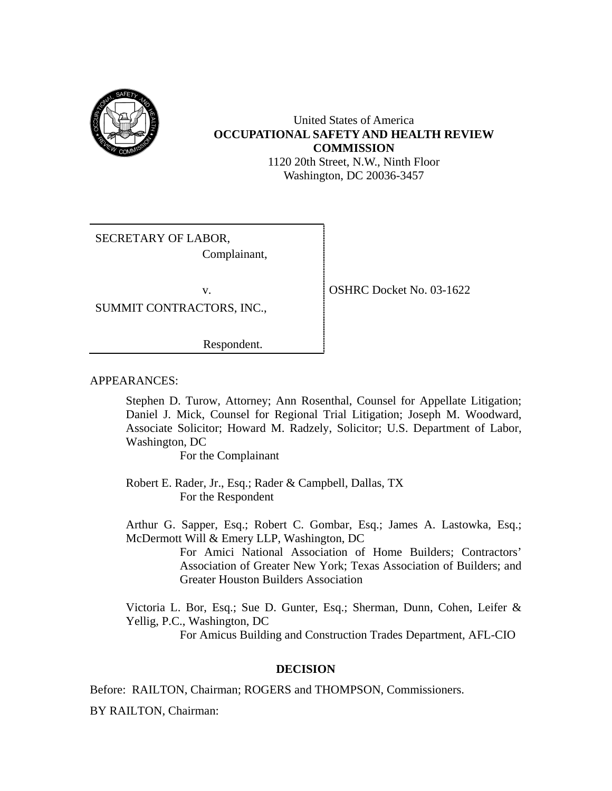

# United States of America **OCCUPATIONAL SAFETY AND HEALTH REVIEW COMMISSION**

1120 20th Street, N.W., Ninth Floor Washington, DC 20036-3457

SECRETARY OF LABOR, Complainant,

SUMMIT CONTRACTORS, INC.,

v. Solution of the OSHRC Docket No. 03-1622

Respondent.

APPEARANCES:

Stephen D. Turow, Attorney; Ann Rosenthal, Counsel for Appellate Litigation; Daniel J. Mick, Counsel for Regional Trial Litigation; Joseph M. Woodward, Associate Solicitor; Howard M. Radzely, Solicitor; U.S. Department of Labor, Washington, DC

For the Complainant

Robert E. Rader, Jr., Esq.; Rader & Campbell, Dallas, TX For the Respondent

Arthur G. Sapper, Esq.; Robert C. Gombar, Esq.; James A. Lastowka, Esq.; McDermott Will & Emery LLP, Washington, DC

For Amici National Association of Home Builders; Contractors' Association of Greater New York; Texas Association of Builders; and Greater Houston Builders Association

Victoria L. Bor, Esq.; Sue D. Gunter, Esq.; Sherman, Dunn, Cohen, Leifer & Yellig, P.C., Washington, DC

For Amicus Building and Construction Trades Department, AFL-CIO

# **DECISION**

Before: RAILTON, Chairman; ROGERS and THOMPSON, Commissioners.

BY RAILTON, Chairman: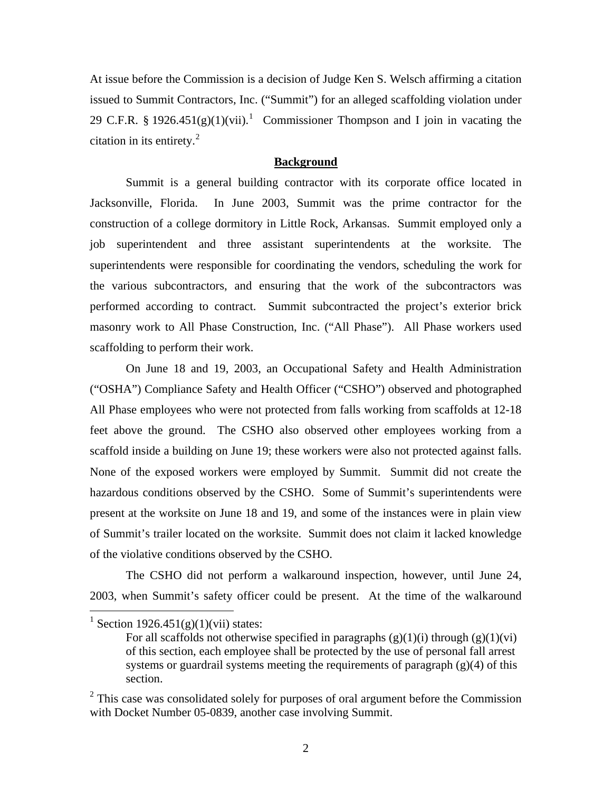At issue before the Commission is a decision of Judge Ken S. Welsch affirming a citation issued to Summit Contractors, Inc. ("Summit") for an alleged scaffolding violation under 29 C.F.R. § [1](#page-1-0)926.451(g)(1)(vii).<sup>1</sup> Commissioner Thompson and I join in vacating the citation in its entirety. $2$ 

# **Background**

Summit is a general building contractor with its corporate office located in Jacksonville, Florida. In June 2003, Summit was the prime contractor for the construction of a college dormitory in Little Rock, Arkansas. Summit employed only a job superintendent and three assistant superintendents at the worksite. The superintendents were responsible for coordinating the vendors, scheduling the work for the various subcontractors, and ensuring that the work of the subcontractors was performed according to contract. Summit subcontracted the project's exterior brick masonry work to All Phase Construction, Inc. ("All Phase"). All Phase workers used scaffolding to perform their work.

On June 18 and 19, 2003, an Occupational Safety and Health Administration ("OSHA") Compliance Safety and Health Officer ("CSHO") observed and photographed All Phase employees who were not protected from falls working from scaffolds at 12-18 feet above the ground. The CSHO also observed other employees working from a scaffold inside a building on June 19; these workers were also not protected against falls. None of the exposed workers were employed by Summit. Summit did not create the hazardous conditions observed by the CSHO. Some of Summit's superintendents were present at the worksite on June 18 and 19, and some of the instances were in plain view of Summit's trailer located on the worksite. Summit does not claim it lacked knowledge of the violative conditions observed by the CSHO.

The CSHO did not perform a walkaround inspection, however, until June 24, 2003, when Summit's safety officer could be present. At the time of the walkaround

<span id="page-1-0"></span><sup>&</sup>lt;sup>1</sup> Section 1926.451(g)(1)(vii) states:

For all scaffolds not otherwise specified in paragraphs  $(g)(1)(i)$  through  $(g)(1)(vi)$ of this section, each employee shall be protected by the use of personal fall arrest systems or guardrail systems meeting the requirements of paragraph (g)(4) of this section.

<span id="page-1-1"></span> $2$  This case was consolidated solely for purposes of oral argument before the Commission with Docket Number 05-0839, another case involving Summit.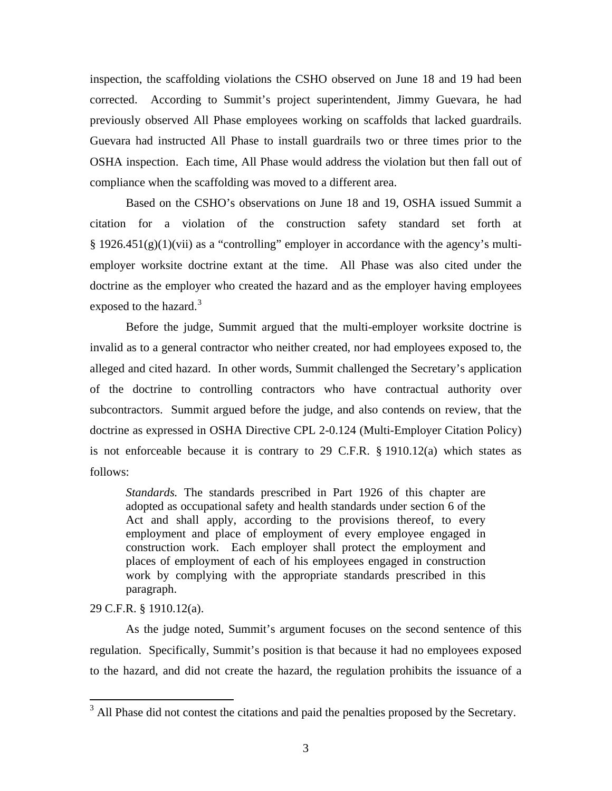inspection, the scaffolding violations the CSHO observed on June 18 and 19 had been corrected. According to Summit's project superintendent, Jimmy Guevara, he had previously observed All Phase employees working on scaffolds that lacked guardrails. Guevara had instructed All Phase to install guardrails two or three times prior to the OSHA inspection. Each time, All Phase would address the violation but then fall out of compliance when the scaffolding was moved to a different area.

Based on the CSHO's observations on June 18 and 19, OSHA issued Summit a citation for a violation of the construction safety standard set forth at  $§$  1926.451(g)(1)(vii) as a "controlling" employer in accordance with the agency's multiemployer worksite doctrine extant at the time. All Phase was also cited under the doctrine as the employer who created the hazard and as the employer having employees exposed to the hazard.<sup>[3](#page-2-0)</sup>

Before the judge, Summit argued that the multi-employer worksite doctrine is invalid as to a general contractor who neither created, nor had employees exposed to, the alleged and cited hazard. In other words, Summit challenged the Secretary's application of the doctrine to controlling contractors who have contractual authority over subcontractors. Summit argued before the judge, and also contends on review, that the doctrine as expressed in OSHA Directive CPL 2-0.124 (Multi-Employer Citation Policy) is not enforceable because it is contrary to 29 C.F.R. § 1910.12(a) which states as follows:

*Standards.* The standards prescribed in Part 1926 of this chapter are adopted as occupational safety and health standards under section 6 of the Act and shall apply, according to the provisions thereof, to every employment and place of employment of every employee engaged in construction work. Each employer shall protect the employment and places of employment of each of his employees engaged in construction work by complying with the appropriate standards prescribed in this paragraph.

29 C.F.R. § 1910.12(a).

 As the judge noted, Summit's argument focuses on the second sentence of this regulation. Specifically, Summit's position is that because it had no employees exposed to the hazard, and did not create the hazard, the regulation prohibits the issuance of a

<span id="page-2-0"></span><sup>&</sup>lt;sup>3</sup> All Phase did not contest the citations and paid the penalties proposed by the Secretary.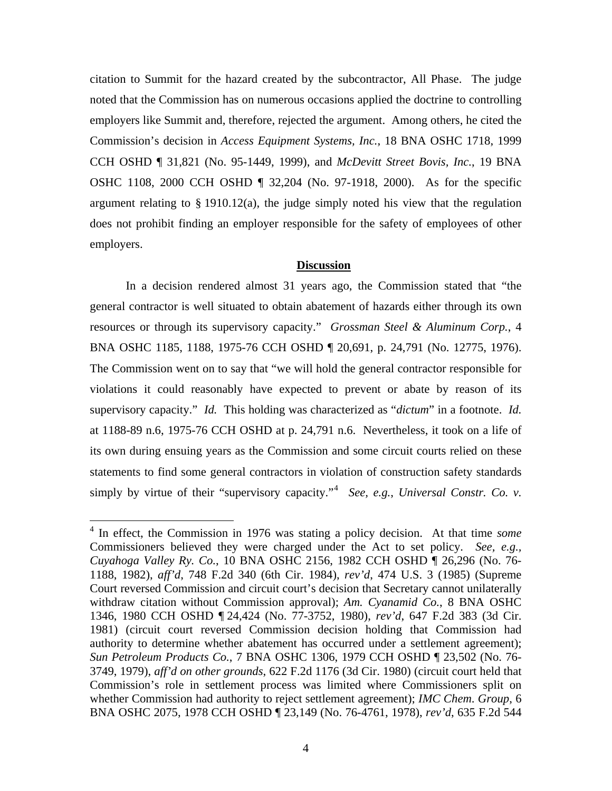citation to Summit for the hazard created by the subcontractor, All Phase. The judge noted that the Commission has on numerous occasions applied the doctrine to controlling employers like Summit and, therefore, rejected the argument. Among others, he cited the Commission's decision in *Access Equipment Systems, Inc.*, 18 BNA OSHC 1718, 1999 CCH OSHD ¶ 31,821 (No. 95-1449, 1999), and *McDevitt Street Bovis, Inc.*, 19 BNA OSHC 1108, 2000 CCH OSHD ¶ 32,204 (No. 97-1918, 2000). As for the specific argument relating to  $\S$  1910.12(a), the judge simply noted his view that the regulation does not prohibit finding an employer responsible for the safety of employees of other employers.

### **Discussion**

In a decision rendered almost 31 years ago, the Commission stated that "the general contractor is well situated to obtain abatement of hazards either through its own resources or through its supervisory capacity." *Grossman Steel & Aluminum Corp.*, 4 BNA OSHC 1185, 1188, 1975-76 CCH OSHD ¶ 20,691, p. 24,791 (No. 12775, 1976). The Commission went on to say that "we will hold the general contractor responsible for violations it could reasonably have expected to prevent or abate by reason of its supervisory capacity." *Id.* This holding was characterized as "*dictum*" in a footnote. *Id.* at 1188-89 n.6, 1975-76 CCH OSHD at p. 24,791 n.6. Nevertheless, it took on a life of its own during ensuing years as the Commission and some circuit courts relied on these statements to find some general contractors in violation of construction safety standards simply by virtue of their "supervisory capacity."<sup>[4](#page-3-0)</sup> See, e.g., Universal Constr. Co. v.

<span id="page-3-0"></span> 4 In effect, the Commission in 1976 was stating a policy decision. At that time *some*  Commissioners believed they were charged under the Act to set policy. *See, e.g., Cuyahoga Valley Ry. Co.*, 10 BNA OSHC 2156, 1982 CCH OSHD ¶ 26,296 (No. 76- 1188, 1982), *aff'd*, 748 F.2d 340 (6th Cir. 1984), *rev'd*, 474 U.S. 3 (1985) (Supreme Court reversed Commission and circuit court's decision that Secretary cannot unilaterally withdraw citation without Commission approval); *Am. Cyanamid Co.*, 8 BNA OSHC 1346, 1980 CCH OSHD ¶ 24,424 (No. 77-3752, 1980), *rev'd*, 647 F.2d 383 (3d Cir. 1981) (circuit court reversed Commission decision holding that Commission had authority to determine whether abatement has occurred under a settlement agreement); *Sun Petroleum Products Co.*, 7 BNA OSHC 1306, 1979 CCH OSHD ¶ 23,502 (No. 76- 3749, 1979), *aff'd on other grounds*, 622 F.2d 1176 (3d Cir. 1980) (circuit court held that Commission's role in settlement process was limited where Commissioners split on whether Commission had authority to reject settlement agreement); *IMC Chem*. *Group*, 6 BNA OSHC 2075, 1978 CCH OSHD ¶ 23,149 (No. 76-4761, 1978), *rev'd*, 635 F.2d 544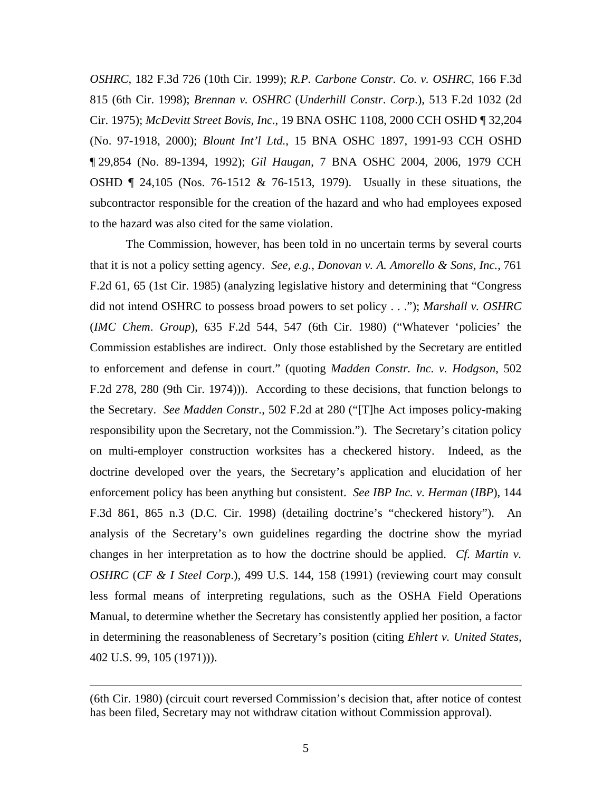*OSHRC*, 182 F.3d 726 (10th Cir. 1999); *R.P. Carbone Constr. Co. v. OSHRC*, 166 F.3d 815 (6th Cir. 1998); *Brennan v. OSHRC* (*Underhill Constr*. *Corp*.), 513 F.2d 1032 (2d Cir. 1975); *McDevitt Street Bovis, Inc.*, 19 BNA OSHC 1108, 2000 CCH OSHD ¶ 32,204 (No. 97-1918, 2000); *Blount Int'l Ltd.*, 15 BNA OSHC 1897, 1991-93 CCH OSHD ¶ 29,854 (No. 89-1394, 1992); *Gil Haugan*, 7 BNA OSHC 2004, 2006, 1979 CCH OSHD ¶ 24,105 (Nos. 76-1512 & 76-1513, 1979). Usually in these situations, the subcontractor responsible for the creation of the hazard and who had employees exposed to the hazard was also cited for the same violation.

The Commission, however, has been told in no uncertain terms by several courts that it is not a policy setting agency. *See, e.g.*, *Donovan v. A. Amorello & Sons, Inc.*, 761 F.2d 61, 65 (1st Cir. 1985) (analyzing legislative history and determining that "Congress did not intend OSHRC to possess broad powers to set policy . . ."); *Marshall v. OSHRC*  (*IMC Chem*. *Group*), 635 F.2d 544, 547 (6th Cir. 1980) ("Whatever 'policies' the Commission establishes are indirect. Only those established by the Secretary are entitled to enforcement and defense in court." (quoting *Madden Constr. Inc. v. Hodgson*, 502 F.2d 278, 280 (9th Cir. 1974))). According to these decisions, that function belongs to the Secretary. *See Madden Constr.*, 502 F.2d at 280 ("[T]he Act imposes policy-making responsibility upon the Secretary, not the Commission."). The Secretary's citation policy on multi-employer construction worksites has a checkered history. Indeed, as the doctrine developed over the years, the Secretary's application and elucidation of her enforcement policy has been anything but consistent. *See IBP Inc. v. Herman* (*IBP*), 144 F.3d 861, 865 n.3 (D.C. Cir. 1998) (detailing doctrine's "checkered history"). An analysis of the Secretary's own guidelines regarding the doctrine show the myriad changes in her interpretation as to how the doctrine should be applied. *Cf. Martin v. OSHRC* (*CF & I Steel Corp*.), 499 U.S. 144, 158 (1991) (reviewing court may consult less formal means of interpreting regulations, such as the OSHA Field Operations Manual, to determine whether the Secretary has consistently applied her position, a factor in determining the reasonableness of Secretary's position (citing *Ehlert v. United States,* 402 U.S. 99, 105 (1971))).

 $\overline{a}$ 

<sup>(6</sup>th Cir. 1980) (circuit court reversed Commission's decision that, after notice of contest has been filed, Secretary may not withdraw citation without Commission approval).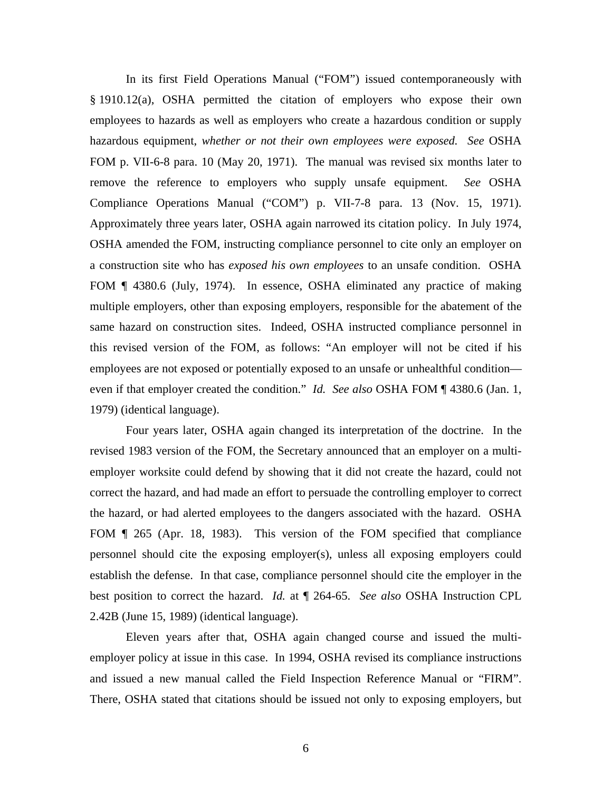In its first Field Operations Manual ("FOM") issued contemporaneously with § 1910.12(a), OSHA permitted the citation of employers who expose their own employees to hazards as well as employers who create a hazardous condition or supply hazardous equipment, *whether or not their own employees were exposed. See* OSHA FOM p. VII-6-8 para. 10 (May 20, 1971). The manual was revised six months later to remove the reference to employers who supply unsafe equipment. *See* OSHA Compliance Operations Manual ("COM") p. VII-7-8 para. 13 (Nov. 15, 1971). Approximately three years later, OSHA again narrowed its citation policy. In July 1974, OSHA amended the FOM, instructing compliance personnel to cite only an employer on a construction site who has *exposed his own employees* to an unsafe condition. OSHA FOM ¶ 4380.6 (July, 1974). In essence, OSHA eliminated any practice of making multiple employers, other than exposing employers, responsible for the abatement of the same hazard on construction sites. Indeed, OSHA instructed compliance personnel in this revised version of the FOM, as follows: "An employer will not be cited if his employees are not exposed or potentially exposed to an unsafe or unhealthful condition even if that employer created the condition." *Id. See also* OSHA FOM ¶ 4380.6 (Jan. 1, 1979) (identical language).

Four years later, OSHA again changed its interpretation of the doctrine. In the revised 1983 version of the FOM, the Secretary announced that an employer on a multiemployer worksite could defend by showing that it did not create the hazard, could not correct the hazard, and had made an effort to persuade the controlling employer to correct the hazard, or had alerted employees to the dangers associated with the hazard. OSHA FOM  $\parallel$  265 (Apr. 18, 1983). This version of the FOM specified that compliance personnel should cite the exposing employer(s), unless all exposing employers could establish the defense. In that case, compliance personnel should cite the employer in the best position to correct the hazard. *Id.* at ¶ 264-65. *See also* OSHA Instruction CPL 2.42B (June 15, 1989) (identical language).

Eleven years after that, OSHA again changed course and issued the multiemployer policy at issue in this case. In 1994, OSHA revised its compliance instructions and issued a new manual called the Field Inspection Reference Manual or "FIRM". There, OSHA stated that citations should be issued not only to exposing employers, but

6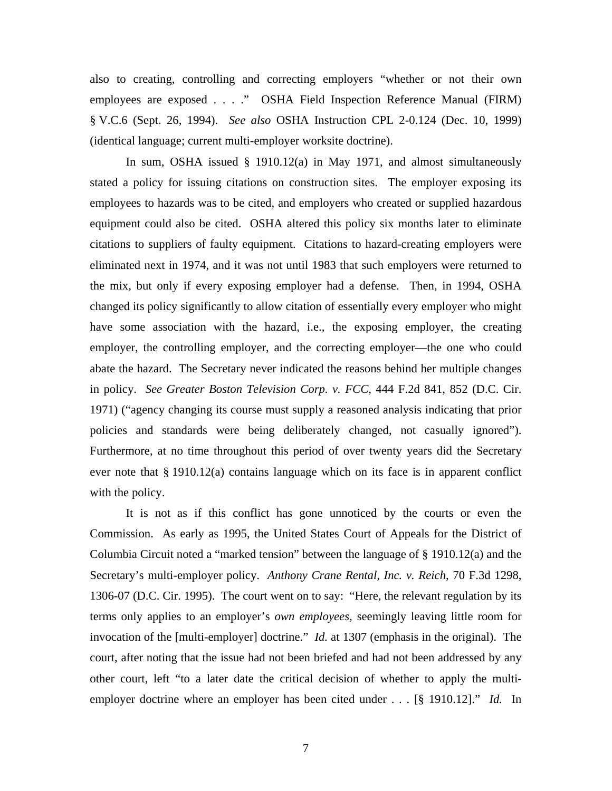also to creating, controlling and correcting employers "whether or not their own employees are exposed . . . ." OSHA Field Inspection Reference Manual (FIRM) § V.C.6 (Sept. 26, 1994). *See also* OSHA Instruction CPL 2-0.124 (Dec. 10, 1999) (identical language; current multi-employer worksite doctrine).

In sum, OSHA issued § 1910.12(a) in May 1971, and almost simultaneously stated a policy for issuing citations on construction sites. The employer exposing its employees to hazards was to be cited, and employers who created or supplied hazardous equipment could also be cited. OSHA altered this policy six months later to eliminate citations to suppliers of faulty equipment. Citations to hazard-creating employers were eliminated next in 1974, and it was not until 1983 that such employers were returned to the mix, but only if every exposing employer had a defense. Then, in 1994, OSHA changed its policy significantly to allow citation of essentially every employer who might have some association with the hazard, i.e., the exposing employer, the creating employer, the controlling employer, and the correcting employer—the one who could abate the hazard. The Secretary never indicated the reasons behind her multiple changes in policy. *See Greater Boston Television Corp. v. FCC*, 444 F.2d 841, 852 (D.C. Cir. 1971) ("agency changing its course must supply a reasoned analysis indicating that prior policies and standards were being deliberately changed, not casually ignored"). Furthermore, at no time throughout this period of over twenty years did the Secretary ever note that § 1910.12(a) contains language which on its face is in apparent conflict with the policy.

It is not as if this conflict has gone unnoticed by the courts or even the Commission. As early as 1995, the United States Court of Appeals for the District of Columbia Circuit noted a "marked tension" between the language of § 1910.12(a) and the Secretary's multi-employer policy. *Anthony Crane Rental, Inc. v. Reich*, 70 F.3d 1298, 1306-07 (D.C. Cir. 1995). The court went on to say: "Here, the relevant regulation by its terms only applies to an employer's *own employees*, seemingly leaving little room for invocation of the [multi-employer] doctrine." *Id.* at 1307 (emphasis in the original). The court, after noting that the issue had not been briefed and had not been addressed by any other court, left "to a later date the critical decision of whether to apply the multiemployer doctrine where an employer has been cited under . . . [§ 1910.12]." *Id.* In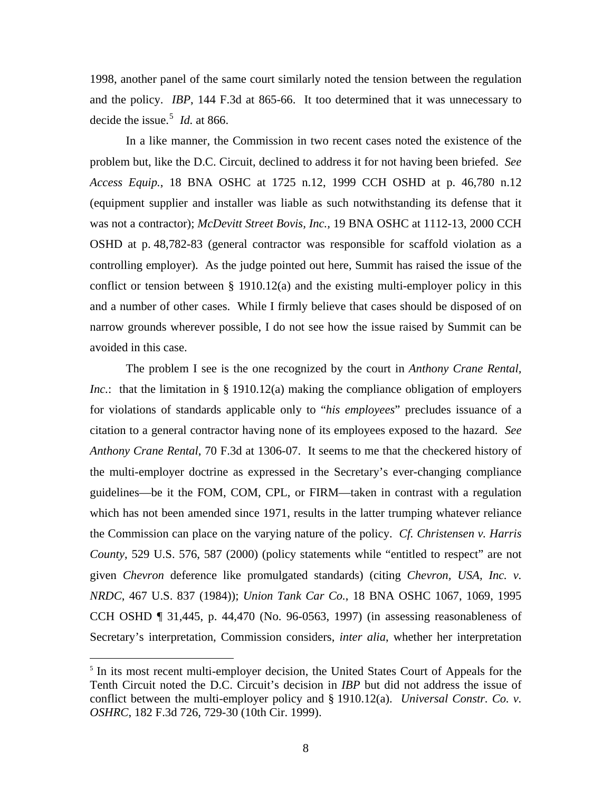1998, another panel of the same court similarly noted the tension between the regulation and the policy. *IBP*, 144 F.3d at 865-66. It too determined that it was unnecessary to decide the issue.<sup>[5](#page-7-0)</sup> *Id.* at 866.

 In a like manner, the Commission in two recent cases noted the existence of the problem but, like the D.C. Circuit, declined to address it for not having been briefed. *See Access Equip.*, 18 BNA OSHC at 1725 n.12, 1999 CCH OSHD at p. 46,780 n.12 (equipment supplier and installer was liable as such notwithstanding its defense that it was not a contractor); *McDevitt Street Bovis, Inc.,* 19 BNA OSHC at 1112-13, 2000 CCH OSHD at p. 48,782-83 (general contractor was responsible for scaffold violation as a controlling employer). As the judge pointed out here, Summit has raised the issue of the conflict or tension between § 1910.12(a) and the existing multi-employer policy in this and a number of other cases. While I firmly believe that cases should be disposed of on narrow grounds wherever possible, I do not see how the issue raised by Summit can be avoided in this case.

 The problem I see is the one recognized by the court in *Anthony Crane Rental, Inc.*: that the limitation in § 1910.12(a) making the compliance obligation of employers for violations of standards applicable only to "*his employees*" precludes issuance of a citation to a general contractor having none of its employees exposed to the hazard. *See Anthony Crane Rental*, 70 F.3d at 1306-07. It seems to me that the checkered history of the multi-employer doctrine as expressed in the Secretary's ever-changing compliance guidelines—be it the FOM, COM, CPL, or FIRM—taken in contrast with a regulation which has not been amended since 1971, results in the latter trumping whatever reliance the Commission can place on the varying nature of the policy. *Cf. Christensen v. Harris County*, 529 U.S. 576, 587 (2000) (policy statements while "entitled to respect" are not given *Chevron* deference like promulgated standards) (citing *Chevron, USA, Inc. v. NRDC*, 467 U.S. 837 (1984)); *Union Tank Car Co.*, 18 BNA OSHC 1067, 1069, 1995 CCH OSHD ¶ 31,445, p. 44,470 (No. 96-0563, 1997) (in assessing reasonableness of Secretary's interpretation, Commission considers, *inter alia*, whether her interpretation

 $\overline{a}$ 

<span id="page-7-0"></span><sup>&</sup>lt;sup>5</sup> In its most recent multi-employer decision, the United States Court of Appeals for the Tenth Circuit noted the D.C. Circuit's decision in *IBP* but did not address the issue of conflict between the multi-employer policy and § 1910.12(a). *Universal Constr. Co. v. OSHRC*, 182 F.3d 726, 729-30 (10th Cir. 1999).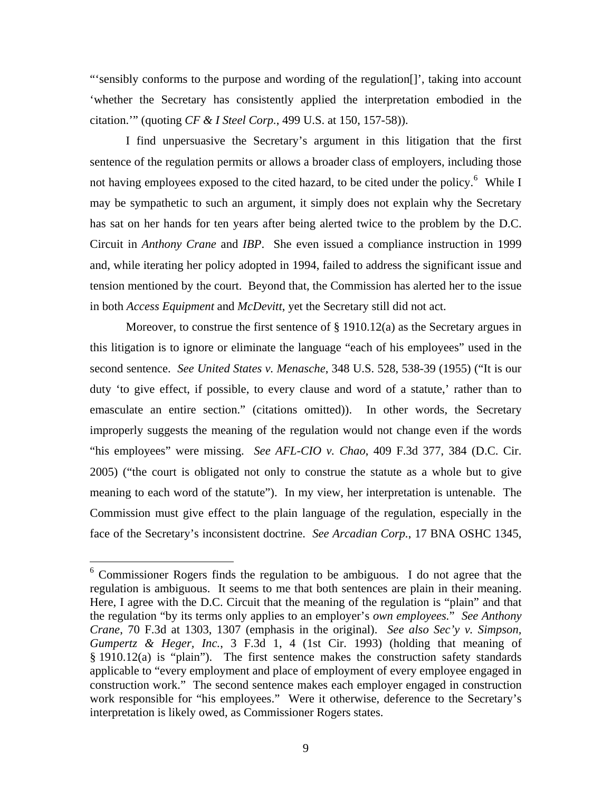"'sensibly conforms to the purpose and wording of the regulation[]', taking into account 'whether the Secretary has consistently applied the interpretation embodied in the citation.'" (quoting *CF & I Steel Corp.*, 499 U.S. at 150, 157-58)).

 I find unpersuasive the Secretary's argument in this litigation that the first sentence of the regulation permits or allows a broader class of employers, including those not having employees exposed to the cited hazard, to be cited under the policy.<sup>[6](#page-8-0)</sup> While I may be sympathetic to such an argument, it simply does not explain why the Secretary has sat on her hands for ten years after being alerted twice to the problem by the D.C. Circuit in *Anthony Crane* and *IBP*. She even issued a compliance instruction in 1999 and, while iterating her policy adopted in 1994, failed to address the significant issue and tension mentioned by the court. Beyond that, the Commission has alerted her to the issue in both *Access Equipment* and *McDevitt*, yet the Secretary still did not act.

 Moreover, to construe the first sentence of § 1910.12(a) as the Secretary argues in this litigation is to ignore or eliminate the language "each of his employees" used in the second sentence. *See United States v. Menasche*, 348 U.S. 528, 538-39 (1955) ("It is our duty 'to give effect, if possible, to every clause and word of a statute,' rather than to emasculate an entire section." (citations omitted)). In other words, the Secretary improperly suggests the meaning of the regulation would not change even if the words "his employees" were missing. *See AFL-CIO v. Chao*, 409 F.3d 377, 384 (D.C. Cir. 2005) ("the court is obligated not only to construe the statute as a whole but to give meaning to each word of the statute"). In my view, her interpretation is untenable. The Commission must give effect to the plain language of the regulation, especially in the face of the Secretary's inconsistent doctrine. *See Arcadian Corp.*, 17 BNA OSHC 1345,

<span id="page-8-0"></span> 6 Commissioner Rogers finds the regulation to be ambiguous. I do not agree that the regulation is ambiguous. It seems to me that both sentences are plain in their meaning. Here, I agree with the D.C. Circuit that the meaning of the regulation is "plain" and that the regulation "by its terms only applies to an employer's *own employees.*" *See Anthony Crane*, 70 F.3d at 1303, 1307 (emphasis in the original). *See also Sec'y v. Simpson, Gumpertz & Heger, Inc.*, 3 F.3d 1, 4 (1st Cir. 1993) (holding that meaning of § 1910.12(a) is "plain"). The first sentence makes the construction safety standards applicable to "every employment and place of employment of every employee engaged in construction work." The second sentence makes each employer engaged in construction work responsible for "his employees." Were it otherwise, deference to the Secretary's interpretation is likely owed, as Commissioner Rogers states.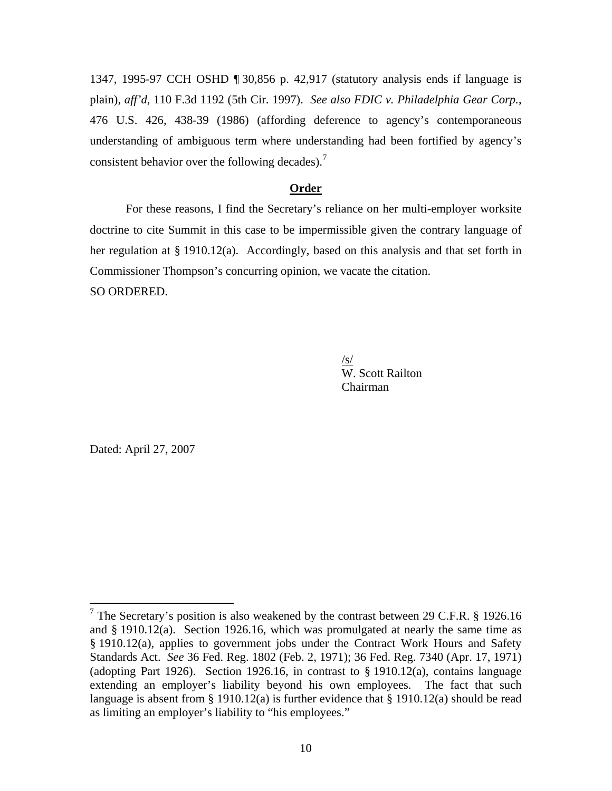1347, 1995-97 CCH OSHD ¶ 30,856 p. 42,917 (statutory analysis ends if language is plain), *aff'd*, 110 F.3d 1192 (5th Cir. 1997). *See also FDIC v. Philadelphia Gear Corp.*, 476 U.S. 426, 438-39 (1986) (affording deference to agency's contemporaneous understanding of ambiguous term where understanding had been fortified by agency's consistent behavior over the following decades).<sup>[7](#page-9-0)</sup>

## **Order**

 For these reasons, I find the Secretary's reliance on her multi-employer worksite doctrine to cite Summit in this case to be impermissible given the contrary language of her regulation at § 1910.12(a). Accordingly, based on this analysis and that set forth in Commissioner Thompson's concurring opinion, we vacate the citation. SO ORDERED.

> /s/ W. Scott Railton Chairman

Dated: April 27, 2007

 $\overline{a}$ 

<span id="page-9-0"></span><sup>&</sup>lt;sup>7</sup> The Secretary's position is also weakened by the contrast between 29 C.F.R. § 1926.16 and  $\S$  1910.12(a). Section 1926.16, which was promulgated at nearly the same time as § 1910.12(a), applies to government jobs under the Contract Work Hours and Safety Standards Act. *See* 36 Fed. Reg. 1802 (Feb. 2, 1971); 36 Fed. Reg. 7340 (Apr. 17, 1971) (adopting Part 1926). Section 1926.16, in contrast to  $\S$  1910.12(a), contains language extending an employer's liability beyond his own employees. The fact that such language is absent from § 1910.12(a) is further evidence that § 1910.12(a) should be read as limiting an employer's liability to "his employees."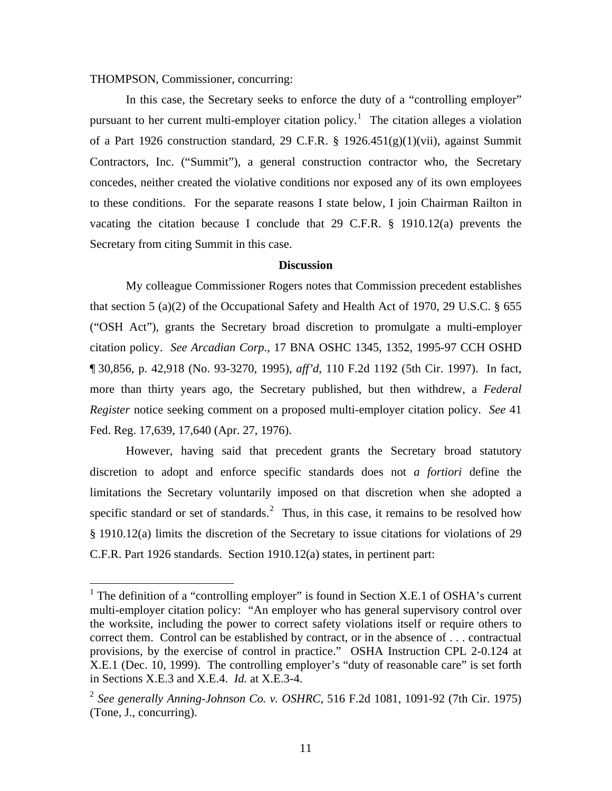THOMPSON, Commissioner, concurring:

 $\overline{a}$ 

In this case, the Secretary seeks to enforce the duty of a "controlling employer" pursuant to her current multi-employer citation policy.<sup>[1](#page-10-0)</sup> The citation alleges a violation of a Part 1926 construction standard, 29 C.F.R. § 1926.451(g)(1)(vii), against Summit Contractors, Inc. ("Summit"), a general construction contractor who, the Secretary concedes, neither created the violative conditions nor exposed any of its own employees to these conditions. For the separate reasons I state below, I join Chairman Railton in vacating the citation because I conclude that 29 C.F.R. § 1910.12(a) prevents the Secretary from citing Summit in this case.

#### **Discussion**

My colleague Commissioner Rogers notes that Commission precedent establishes that section 5 (a)(2) of the Occupational Safety and Health Act of 1970, 29 U.S.C. § 655 ("OSH Act"), grants the Secretary broad discretion to promulgate a multi-employer citation policy. *See Arcadian Corp*., 17 BNA OSHC 1345, 1352, 1995-97 CCH OSHD ¶ 30,856, p. 42,918 (No. 93-3270, 1995), *aff'd*, 110 F.2d 1192 (5th Cir. 1997). In fact, more than thirty years ago, the Secretary published, but then withdrew, a *Federal Register* notice seeking comment on a proposed multi-employer citation policy. *See* 41 Fed. Reg. 17,639, 17,640 (Apr. 27, 1976).

However, having said that precedent grants the Secretary broad statutory discretion to adopt and enforce specific standards does not *a fortiori* define the limitations the Secretary voluntarily imposed on that discretion when she adopted a specific standard or set of standards.<sup>[2](#page-10-1)</sup> Thus, in this case, it remains to be resolved how § 1910.12(a) limits the discretion of the Secretary to issue citations for violations of 29 C.F.R. Part 1926 standards. Section 1910.12(a) states, in pertinent part:

<span id="page-10-0"></span><sup>&</sup>lt;sup>1</sup> The definition of a "controlling employer" is found in Section X.E.1 of OSHA's current multi-employer citation policy: "An employer who has general supervisory control over the worksite, including the power to correct safety violations itself or require others to correct them. Control can be established by contract, or in the absence of . . . contractual provisions, by the exercise of control in practice." OSHA Instruction CPL 2-0.124 at X.E.1 (Dec. 10, 1999). The controlling employer's "duty of reasonable care" is set forth in Sections X.E.3 and X.E.4. *Id.* at X.E.3-4.

<span id="page-10-1"></span><sup>2</sup> *See generally Anning-Johnson Co. v. OSHRC*, 516 F.2d 1081, 1091-92 (7th Cir. 1975) (Tone, J., concurring).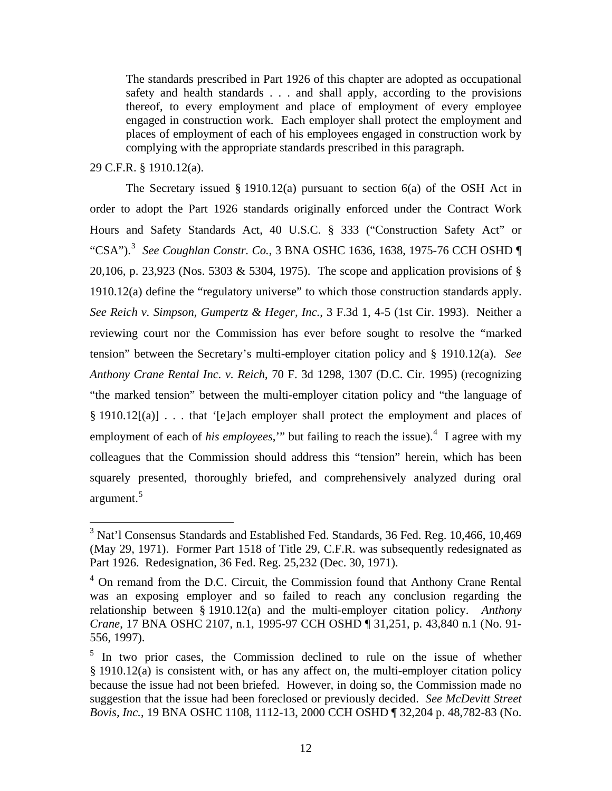The standards prescribed in Part 1926 of this chapter are adopted as occupational safety and health standards . . . and shall apply, according to the provisions thereof, to every employment and place of employment of every employee engaged in construction work. Each employer shall protect the employment and places of employment of each of his employees engaged in construction work by complying with the appropriate standards prescribed in this paragraph.

# 29 C.F.R. § 1910.12(a).

The Secretary issued  $\S$  1910.12(a) pursuant to section 6(a) of the OSH Act in order to adopt the Part 1926 standards originally enforced under the Contract Work Hours and Safety Standards Act, 40 U.S.C. § 333 ("Construction Safety Act" or "CSA").<sup>[3](#page-11-0)</sup> See Coughlan Constr. Co., 3 BNA OSHC 1636, 1638, 1975-76 CCH OSHD ¶ 20,106, p. 23,923 (Nos. 5303 & 5304, 1975). The scope and application provisions of § 1910.12(a) define the "regulatory universe" to which those construction standards apply. *See Reich v. Simpson, Gumpertz & Heger, Inc.*, 3 F.3d 1, 4-5 (1st Cir. 1993). Neither a reviewing court nor the Commission has ever before sought to resolve the "marked tension" between the Secretary's multi-employer citation policy and § 1910.12(a). *See Anthony Crane Rental Inc. v. Reich*, 70 F. 3d 1298, 1307 (D.C. Cir. 1995) (recognizing "the marked tension" between the multi-employer citation policy and "the language of § 1910.12[(a)] . . . that '[e]ach employer shall protect the employment and places of employment of each of *his employees*," but failing to reach the issue).<sup>[4](#page-11-1)</sup> I agree with my colleagues that the Commission should address this "tension" herein, which has been squarely presented, thoroughly briefed, and comprehensively analyzed during oral argument.<sup>[5](#page-11-2)</sup>

<span id="page-11-0"></span><sup>&</sup>lt;sup>3</sup> Nat'l Consensus Standards and Established Fed. Standards, 36 Fed. Reg. 10,466, 10,469 (May 29, 1971). Former Part 1518 of Title 29, C.F.R. was subsequently redesignated as Part 1926. Redesignation, 36 Fed. Reg. 25,232 (Dec. 30, 1971).

<span id="page-11-1"></span><sup>&</sup>lt;sup>4</sup> On remand from the D.C. Circuit, the Commission found that Anthony Crane Rental was an exposing employer and so failed to reach any conclusion regarding the relationship between § 1910.12(a) and the multi-employer citation policy. *Anthony Crane*, 17 BNA OSHC 2107, n.1, 1995-97 CCH OSHD ¶ 31,251, p. 43,840 n.1 (No. 91- 556, 1997).

<span id="page-11-2"></span><sup>&</sup>lt;sup>5</sup> In two prior cases, the Commission declined to rule on the issue of whether § 1910.12(a) is consistent with, or has any affect on, the multi-employer citation policy because the issue had not been briefed. However, in doing so, the Commission made no suggestion that the issue had been foreclosed or previously decided. *See McDevitt Street Bovis, Inc.*, 19 BNA OSHC 1108, 1112-13, 2000 CCH OSHD ¶ 32,204 p. 48,782-83 (No.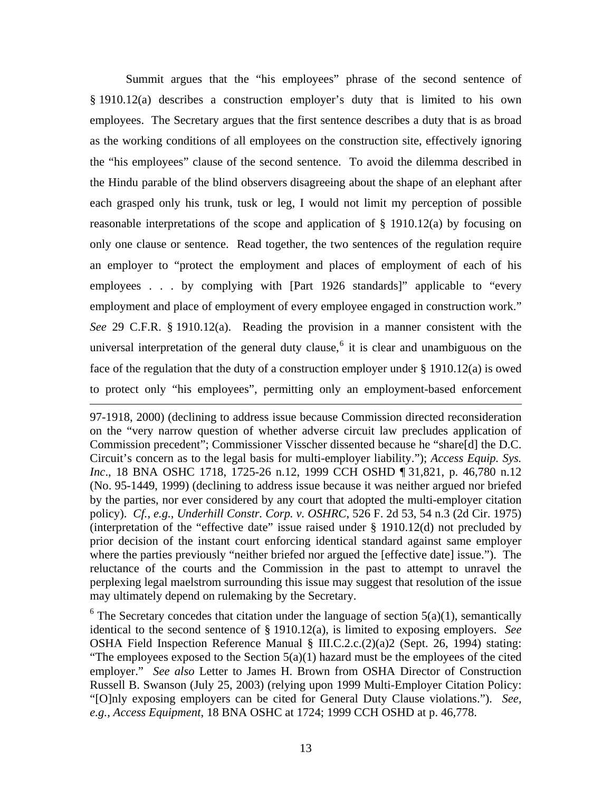Summit argues that the "his employees" phrase of the second sentence of § 1910.12(a) describes a construction employer's duty that is limited to his own employees. The Secretary argues that the first sentence describes a duty that is as broad as the working conditions of all employees on the construction site, effectively ignoring the "his employees" clause of the second sentence. To avoid the dilemma described in the Hindu parable of the blind observers disagreeing about the shape of an elephant after each grasped only his trunk, tusk or leg, I would not limit my perception of possible reasonable interpretations of the scope and application of § 1910.12(a) by focusing on only one clause or sentence. Read together, the two sentences of the regulation require an employer to "protect the employment and places of employment of each of his employees . . . by complying with [Part 1926 standards]" applicable to "every employment and place of employment of every employee engaged in construction work." *See* 29 C.F.R. § 1910.12(a). Reading the provision in a manner consistent with the universal interpretation of the general duty clause,  $6$  it is clear and unambiguous on the face of the regulation that the duty of a construction employer under § 1910.12(a) is owed to protect only "his employees", permitting only an employment-based enforcement

 $\overline{a}$ 

<sup>97-1918, 2000) (</sup>declining to address issue because Commission directed reconsideration on the "very narrow question of whether adverse circuit law precludes application of Commission precedent"; Commissioner Visscher dissented because he "share[d] the D.C. Circuit's concern as to the legal basis for multi-employer liability."); *Access Equip. Sys. Inc*., 18 BNA OSHC 1718, 1725-26 n.12, 1999 CCH OSHD ¶ 31,821, p. 46,780 n.12 (No. 95-1449, 1999) (declining to address issue because it was neither argued nor briefed by the parties, nor ever considered by any court that adopted the multi-employer citation policy). *Cf., e.g., Underhill Constr. Corp. v. OSHRC*, 526 F. 2d 53, 54 n.3 (2d Cir. 1975) (interpretation of the "effective date" issue raised under  $\S$  1910.12(d) not precluded by prior decision of the instant court enforcing identical standard against same employer where the parties previously "neither briefed nor argued the [effective date] issue."). The reluctance of the courts and the Commission in the past to attempt to unravel the perplexing legal maelstrom surrounding this issue may suggest that resolution of the issue may ultimately depend on rulemaking by the Secretary.

<span id="page-12-0"></span><sup>&</sup>lt;sup>6</sup> The Secretary concedes that citation under the language of section  $5(a)(1)$ , semantically identical to the second sentence of § 1910.12(a), is limited to exposing employers. *See*  OSHA Field Inspection Reference Manual § III.C.2.c.(2)(a)2 (Sept. 26, 1994) stating: "The employees exposed to the Section  $5(a)(1)$  hazard must be the employees of the cited employer." *See also* Letter to James H. Brown from OSHA Director of Construction Russell B. Swanson (July 25, 2003) (relying upon 1999 Multi-Employer Citation Policy: "[O]nly exposing employers can be cited for General Duty Clause violations."). *See, e.g.*, *Access Equipment*, 18 BNA OSHC at 1724; 1999 CCH OSHD at p. 46,778.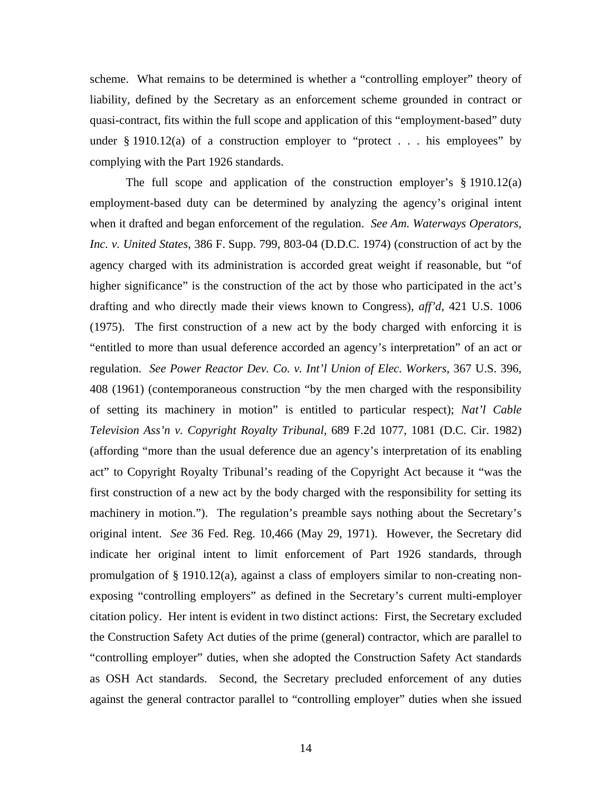scheme. What remains to be determined is whether a "controlling employer" theory of liability, defined by the Secretary as an enforcement scheme grounded in contract or quasi-contract, fits within the full scope and application of this "employment-based" duty under  $\S 1910.12(a)$  of a construction employer to "protect . . . his employees" by complying with the Part 1926 standards.

The full scope and application of the construction employer's  $\S$  1910.12(a) employment-based duty can be determined by analyzing the agency's original intent when it drafted and began enforcement of the regulation. *See Am. Waterways Operators, Inc. v. United States*, 386 F. Supp. 799, 803-04 (D.D.C. 1974) (construction of act by the agency charged with its administration is accorded great weight if reasonable, but "of higher significance" is the construction of the act by those who participated in the act's drafting and who directly made their views known to Congress), *aff'd*, 421 U.S. 1006 (1975). The first construction of a new act by the body charged with enforcing it is "entitled to more than usual deference accorded an agency's interpretation" of an act or regulation. *See Power Reactor Dev. Co. v. Int'l Union of Elec. Workers*, 367 U.S. 396, 408 (1961) (contemporaneous construction "by the men charged with the responsibility of setting its machinery in motion" is entitled to particular respect); *Nat'l Cable Television Ass'n v. Copyright Royalty Tribunal*, 689 F.2d 1077, 1081 (D.C. Cir. 1982) (affording "more than the usual deference due an agency's interpretation of its enabling act" to Copyright Royalty Tribunal's reading of the Copyright Act because it "was the first construction of a new act by the body charged with the responsibility for setting its machinery in motion."). The regulation's preamble says nothing about the Secretary's original intent. *See* 36 Fed. Reg. 10,466 (May 29, 1971). However, the Secretary did indicate her original intent to limit enforcement of Part 1926 standards, through promulgation of § 1910.12(a), against a class of employers similar to non-creating nonexposing "controlling employers" as defined in the Secretary's current multi-employer citation policy. Her intent is evident in two distinct actions: First, the Secretary excluded the Construction Safety Act duties of the prime (general) contractor, which are parallel to "controlling employer" duties, when she adopted the Construction Safety Act standards as OSH Act standards. Second, the Secretary precluded enforcement of any duties against the general contractor parallel to "controlling employer" duties when she issued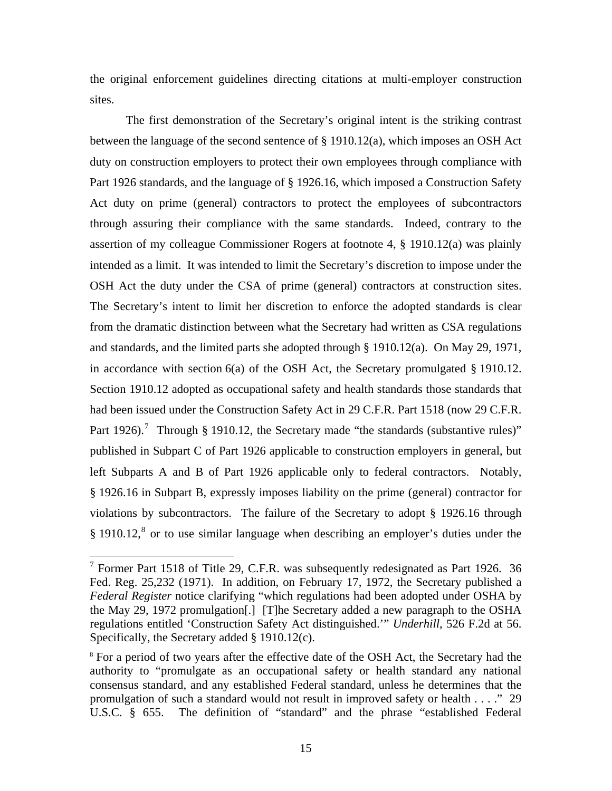the original enforcement guidelines directing citations at multi-employer construction sites.

The first demonstration of the Secretary's original intent is the striking contrast between the language of the second sentence of § 1910.12(a), which imposes an OSH Act duty on construction employers to protect their own employees through compliance with Part 1926 standards, and the language of § 1926.16, which imposed a Construction Safety Act duty on prime (general) contractors to protect the employees of subcontractors through assuring their compliance with the same standards. Indeed, contrary to the assertion of my colleague Commissioner Rogers at footnote 4, § 1910.12(a) was plainly intended as a limit. It was intended to limit the Secretary's discretion to impose under the OSH Act the duty under the CSA of prime (general) contractors at construction sites. The Secretary's intent to limit her discretion to enforce the adopted standards is clear from the dramatic distinction between what the Secretary had written as CSA regulations and standards, and the limited parts she adopted through  $\S$  1910.12(a). On May 29, 1971, in accordance with section 6(a) of the OSH Act, the Secretary promulgated § 1910.12. Section 1910.12 adopted as occupational safety and health standards those standards that had been issued under the Construction Safety Act in 29 C.F.R. Part 1518 (now 29 C.F.R. Part 1926).<sup>[7](#page-14-0)</sup> Through § 1910.12, the Secretary made "the standards (substantive rules)" published in Subpart C of Part 1926 applicable to construction employers in general, but left Subparts A and B of Part 1926 applicable only to federal contractors. Notably, § 1926.16 in Subpart B, expressly imposes liability on the prime (general) contractor for violations by subcontractors. The failure of the Secretary to adopt § 1926.16 through  $§$  1910.12,<sup>[8](#page-14-1)</sup> or to use similar language when describing an employer's duties under the

<span id="page-14-0"></span>T<br><sup>7</sup> Former Part 1518 of Title 29, C.F.R. was subsequently redesignated as Part 1926. 36 Fed. Reg. 25,232 (1971). In addition, on February 17, 1972, the Secretary published a *Federal Register* notice clarifying "which regulations had been adopted under OSHA by the May 29, 1972 promulgation[.] [T]he Secretary added a new paragraph to the OSHA regulations entitled 'Construction Safety Act distinguished.'" *Underhill*, 526 F.2d at 56. Specifically, the Secretary added § 1910.12(c).

<span id="page-14-1"></span><sup>&</sup>lt;sup>8</sup> For a period of two years after the effective date of the OSH Act, the Secretary had the authority to "promulgate as an occupational safety or health standard any national consensus standard, and any established Federal standard, unless he determines that the promulgation of such a standard would not result in improved safety or health . . . ." 29 U.S.C. § 655. The definition of "standard" and the phrase "established Federal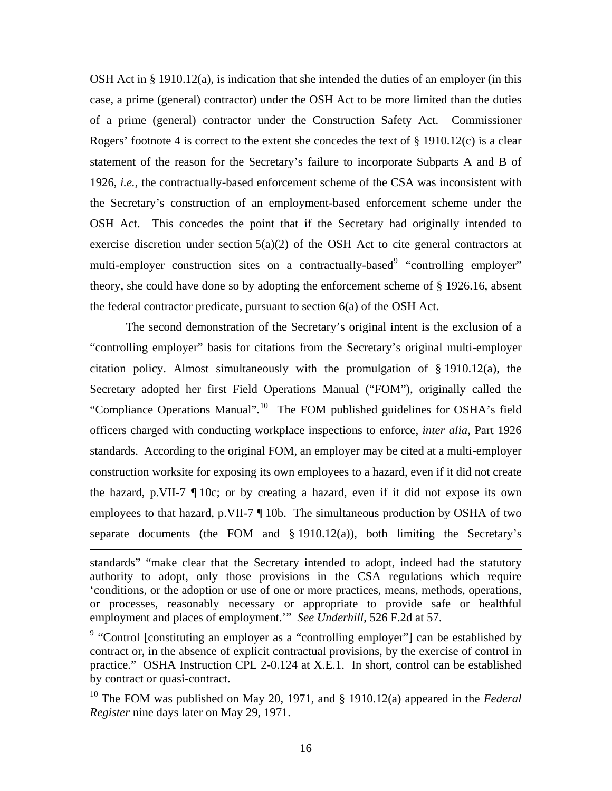OSH Act in § 1910.12(a), is indication that she intended the duties of an employer (in this case, a prime (general) contractor) under the OSH Act to be more limited than the duties of a prime (general) contractor under the Construction Safety Act. Commissioner Rogers' footnote 4 is correct to the extent she concedes the text of  $\S$  1910.12(c) is a clear statement of the reason for the Secretary's failure to incorporate Subparts A and B of 1926, *i.e.*, the contractually-based enforcement scheme of the CSA was inconsistent with the Secretary's construction of an employment-based enforcement scheme under the OSH Act. This concedes the point that if the Secretary had originally intended to exercise discretion under section  $5(a)(2)$  of the OSH Act to cite general contractors at multi-employer construction sites on a contractually-based<sup>[9](#page-15-0)</sup> "controlling employer" theory, she could have done so by adopting the enforcement scheme of § 1926.16, absent the federal contractor predicate, pursuant to section 6(a) of the OSH Act.

The second demonstration of the Secretary's original intent is the exclusion of a "controlling employer" basis for citations from the Secretary's original multi-employer citation policy. Almost simultaneously with the promulgation of § 1910.12(a), the Secretary adopted her first Field Operations Manual ("FOM"), originally called the "Compliance Operations Manual".[10](#page-15-1) The FOM published guidelines for OSHA's field officers charged with conducting workplace inspections to enforce, *inter alia,* Part 1926 standards. According to the original FOM, an employer may be cited at a multi-employer construction worksite for exposing its own employees to a hazard, even if it did not create the hazard, p.VII-7  $\P$  10c; or by creating a hazard, even if it did not expose its own employees to that hazard, p.VII-7 ¶ 10b. The simultaneous production by OSHA of two separate documents (the FOM and  $\S$  1910.12(a)), both limiting the Secretary's

<u>.</u>

standards" "make clear that the Secretary intended to adopt, indeed had the statutory authority to adopt, only those provisions in the CSA regulations which require 'conditions, or the adoption or use of one or more practices, means, methods, operations, or processes, reasonably necessary or appropriate to provide safe or healthful employment and places of employment.'" *See Underhill*, 526 F.2d at 57.

<span id="page-15-0"></span><sup>&</sup>lt;sup>9</sup> "Control [constituting an employer as a "controlling employer"] can be established by contract or, in the absence of explicit contractual provisions, by the exercise of control in practice." OSHA Instruction CPL 2-0.124 at X.E.1. In short, control can be established by contract or quasi-contract.

<span id="page-15-1"></span><sup>10</sup> The FOM was published on May 20, 1971, and § 1910.12(a) appeared in the *Federal Register* nine days later on May 29, 1971.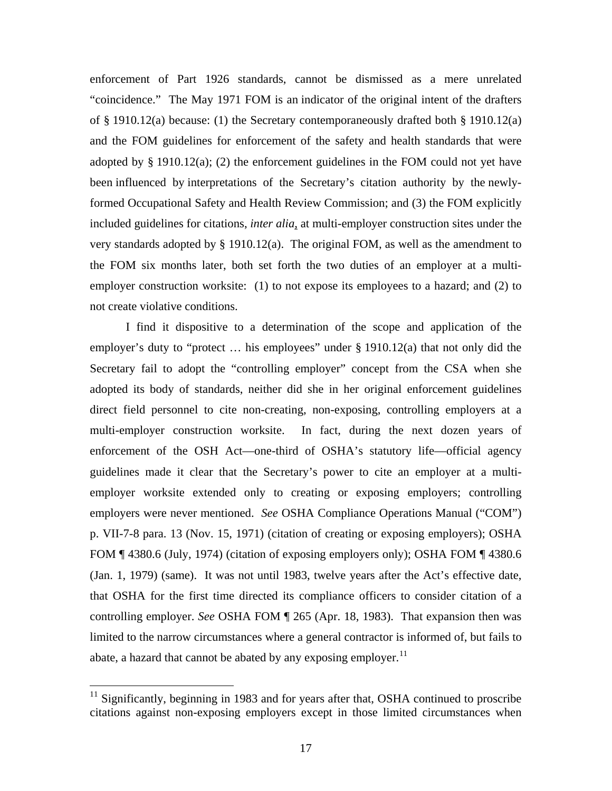enforcement of Part 1926 standards, cannot be dismissed as a mere unrelated "coincidence." The May 1971 FOM is an indicator of the original intent of the drafters of § 1910.12(a) because: (1) the Secretary contemporaneously drafted both § 1910.12(a) and the FOM guidelines for enforcement of the safety and health standards that were adopted by § 1910.12(a); (2) the enforcement guidelines in the FOM could not yet have been influenced by interpretations of the Secretary's citation authority by the newlyformed Occupational Safety and Health Review Commission; and (3) the FOM explicitly included guidelines for citations, *inter alia*, at multi-employer construction sites under the very standards adopted by  $\S$  1910.12(a). The original FOM, as well as the amendment to the FOM six months later, both set forth the two duties of an employer at a multiemployer construction worksite: (1) to not expose its employees to a hazard; and (2) to not create violative conditions.

I find it dispositive to a determination of the scope and application of the employer's duty to "protect … his employees" under § 1910.12(a) that not only did the Secretary fail to adopt the "controlling employer" concept from the CSA when she adopted its body of standards, neither did she in her original enforcement guidelines direct field personnel to cite non-creating, non-exposing, controlling employers at a multi-employer construction worksite. In fact, during the next dozen years of enforcement of the OSH Act—one-third of OSHA's statutory life—official agency guidelines made it clear that the Secretary's power to cite an employer at a multiemployer worksite extended only to creating or exposing employers; controlling employers were never mentioned. *See* OSHA Compliance Operations Manual ("COM") p. VII-7-8 para. 13 (Nov. 15, 1971) (citation of creating or exposing employers); OSHA FOM ¶ 4380.6 (July, 1974) (citation of exposing employers only); OSHA FOM ¶ 4380.6 (Jan. 1, 1979) (same). It was not until 1983, twelve years after the Act's effective date, that OSHA for the first time directed its compliance officers to consider citation of a controlling employer. *See* OSHA FOM ¶ 265 (Apr. 18, 1983). That expansion then was limited to the narrow circumstances where a general contractor is informed of, but fails to abate, a hazard that cannot be abated by any exposing employer.<sup>[11](#page-16-0)</sup>

 $\overline{a}$ 

<span id="page-16-0"></span> $11$  Significantly, beginning in 1983 and for years after that, OSHA continued to proscribe citations against non-exposing employers except in those limited circumstances when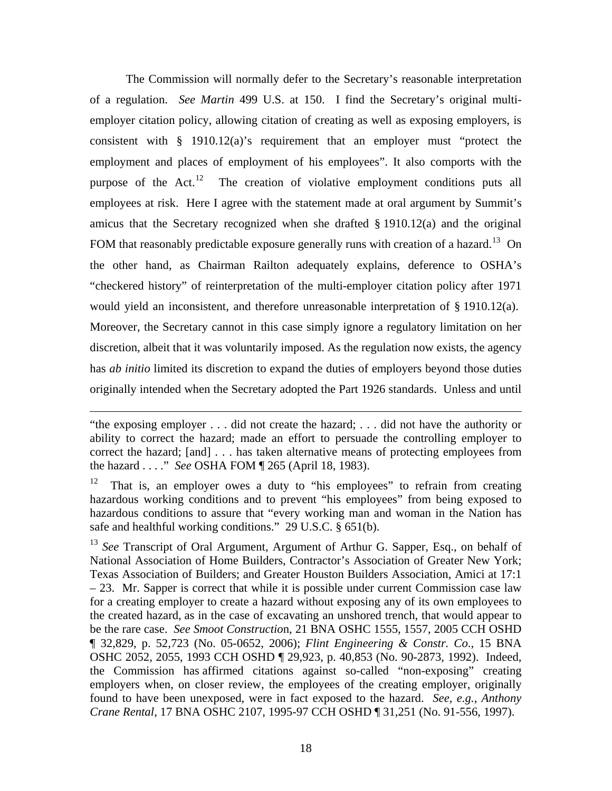The Commission will normally defer to the Secretary's reasonable interpretation of a regulation. *See Martin* 499 U.S. at 150. I find the Secretary's original multiemployer citation policy, allowing citation of creating as well as exposing employers, is consistent with § 1910.12(a)'s requirement that an employer must "protect the employment and places of employment of his employees". It also comports with the purpose of the Act.<sup>[12](#page-17-0)</sup> The creation of violative employment conditions puts all employees at risk. Here I agree with the statement made at oral argument by Summit's amicus that the Secretary recognized when she drafted § 1910.12(a) and the original FOM that reasonably predictable exposure generally runs with creation of a hazard.<sup>[13](#page-17-1)</sup> On the other hand, as Chairman Railton adequately explains, deference to OSHA's "checkered history" of reinterpretation of the multi-employer citation policy after 1971 would yield an inconsistent, and therefore unreasonable interpretation of § 1910.12(a). Moreover, the Secretary cannot in this case simply ignore a regulatory limitation on her discretion, albeit that it was voluntarily imposed. As the regulation now exists, the agency has *ab initio* limited its discretion to expand the duties of employers beyond those duties originally intended when the Secretary adopted the Part 1926 standards. Unless and until

1

<sup>&</sup>quot;the exposing employer . . . did not create the hazard; . . . did not have the authority or ability to correct the hazard; made an effort to persuade the controlling employer to correct the hazard; [and] . . . has taken alternative means of protecting employees from the hazard . . . ." *See* OSHA FOM ¶ 265 (April 18, 1983).

<span id="page-17-0"></span><sup>&</sup>lt;sup>12</sup> That is, an employer owes a duty to "his employees" to refrain from creating hazardous working conditions and to prevent "his employees" from being exposed to hazardous conditions to assure that "every working man and woman in the Nation has safe and healthful working conditions." 29 U.S.C. § 651(b).

<span id="page-17-1"></span><sup>13</sup> *See* Transcript of Oral Argument, Argument of Arthur G. Sapper, Esq., on behalf of National Association of Home Builders, Contractor's Association of Greater New York; Texas Association of Builders; and Greater Houston Builders Association, Amici at 17:1 – 23. Mr. Sapper is correct that while it is possible under current Commission case law for a creating employer to create a hazard without exposing any of its own employees to the created hazard, as in the case of excavating an unshored trench, that would appear to be the rare case. *See Smoot Constructio*n, 21 BNA OSHC 1555, 1557, 2005 CCH OSHD ¶ 32,829, p. 52,723 (No. 05-0652, 2006); *Flint Engineering & Constr. Co*., 15 BNA OSHC 2052, 2055, 1993 CCH OSHD ¶ 29,923, p. 40,853 (No. 90-2873, 1992). Indeed, the Commission has affirmed citations against so-called "non-exposing" creating employers when, on closer review, the employees of the creating employer, originally found to have been unexposed, were in fact exposed to the hazard. *See, e.g.*, *Anthony Crane Rental*, 17 BNA OSHC 2107, 1995-97 CCH OSHD ¶ 31,251 (No. 91-556, 1997).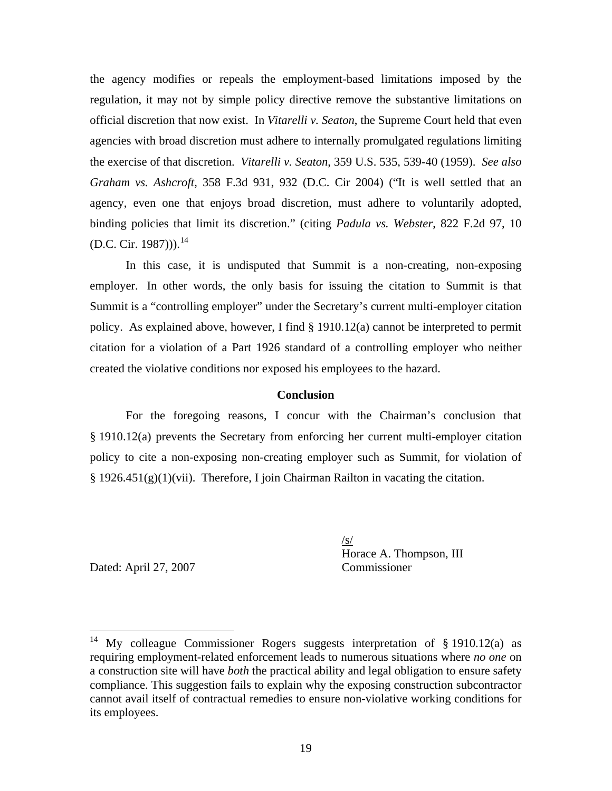the agency modifies or repeals the employment-based limitations imposed by the regulation, it may not by simple policy directive remove the substantive limitations on official discretion that now exist. In *Vitarelli v. Seaton*, the Supreme Court held that even agencies with broad discretion must adhere to internally promulgated regulations limiting the exercise of that discretion. *Vitarelli v. Seaton*, 359 U.S. 535, 539-40 (1959). *See also Graham vs. Ashcroft*, 358 F.3d 931, 932 (D.C. Cir 2004) ("It is well settled that an agency, even one that enjoys broad discretion, must adhere to voluntarily adopted, binding policies that limit its discretion." (citing *Padula vs. Webster*, 822 F.2d 97, 10  $(D.C. Cir. 1987))$ .<sup>[14](#page-18-0)</sup>

In this case, it is undisputed that Summit is a non-creating, non-exposing employer. In other words, the only basis for issuing the citation to Summit is that Summit is a "controlling employer" under the Secretary's current multi-employer citation policy. As explained above, however, I find § 1910.12(a) cannot be interpreted to permit citation for a violation of a Part 1926 standard of a controlling employer who neither created the violative conditions nor exposed his employees to the hazard.

## **Conclusion**

For the foregoing reasons, I concur with the Chairman's conclusion that § 1910.12(a) prevents the Secretary from enforcing her current multi-employer citation policy to cite a non-exposing non-creating employer such as Summit, for violation of § 1926.451(g)(1)(vii). Therefore, I join Chairman Railton in vacating the citation.

Dated: April 27, 2007 Commissioner

 $\overline{a}$ 

 $\sqrt{s/2}$ Horace A. Thompson, III

<span id="page-18-0"></span><sup>&</sup>lt;sup>14</sup> My colleague Commissioner Rogers suggests interpretation of § 1910.12(a) as requiring employment-related enforcement leads to numerous situations where *no one* on a construction site will have *both* the practical ability and legal obligation to ensure safety compliance. This suggestion fails to explain why the exposing construction subcontractor cannot avail itself of contractual remedies to ensure non-violative working conditions for its employees.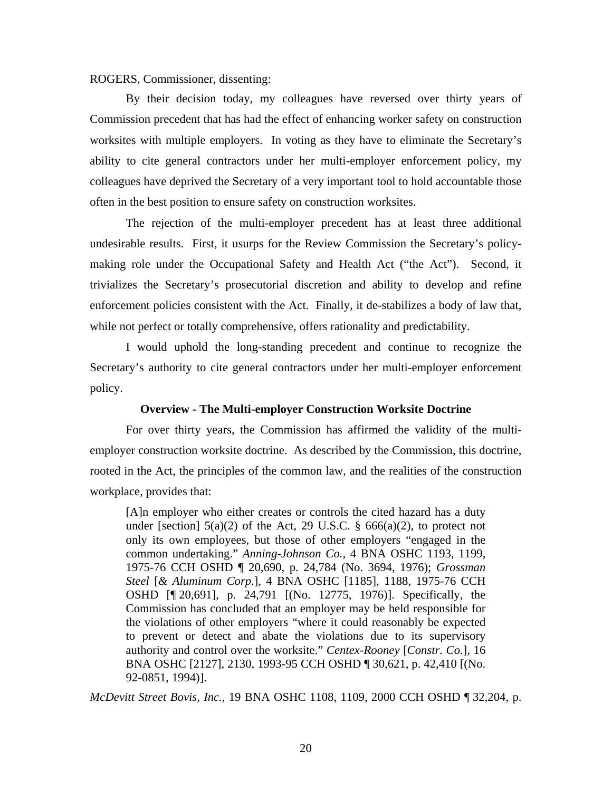ROGERS, Commissioner, dissenting:

By their decision today, my colleagues have reversed over thirty years of Commission precedent that has had the effect of enhancing worker safety on construction worksites with multiple employers. In voting as they have to eliminate the Secretary's ability to cite general contractors under her multi-employer enforcement policy, my colleagues have deprived the Secretary of a very important tool to hold accountable those often in the best position to ensure safety on construction worksites.

The rejection of the multi-employer precedent has at least three additional undesirable results. First, it usurps for the Review Commission the Secretary's policymaking role under the Occupational Safety and Health Act ("the Act"). Second, it trivializes the Secretary's prosecutorial discretion and ability to develop and refine enforcement policies consistent with the Act. Finally, it de-stabilizes a body of law that, while not perfect or totally comprehensive, offers rationality and predictability.

I would uphold the long-standing precedent and continue to recognize the Secretary's authority to cite general contractors under her multi-employer enforcement policy.

#### **Overview - The Multi-employer Construction Worksite Doctrine**

For over thirty years, the Commission has affirmed the validity of the multiemployer construction worksite doctrine. As described by the Commission, this doctrine, rooted in the Act, the principles of the common law, and the realities of the construction workplace, provides that:

[A]n employer who either creates or controls the cited hazard has a duty under [section]  $5(a)(2)$  of the Act, 29 U.S.C. §  $666(a)(2)$ , to protect not only its own employees, but those of other employers "engaged in the common undertaking." *Anning-Johnson Co.*, 4 BNA OSHC 1193, 1199, 1975-76 CCH OSHD ¶ 20,690, p. 24,784 (No. 3694, 1976); *Grossman Steel* [*& Aluminum Corp.*], 4 BNA OSHC [1185], 1188, 1975-76 CCH OSHD [¶ 20,691], p. 24,791 [(No. 12775, 1976)]. Specifically, the Commission has concluded that an employer may be held responsible for the violations of other employers "where it could reasonably be expected to prevent or detect and abate the violations due to its supervisory authority and control over the worksite." *Centex-Rooney* [*Constr. Co.*], 16 BNA OSHC [2127], 2130, 1993-95 CCH OSHD ¶ 30,621, p. 42,410 [(No. 92-0851, 1994)].

*McDevitt Street Bovis, Inc.*, 19 BNA OSHC 1108, 1109, 2000 CCH OSHD ¶ 32,204, p.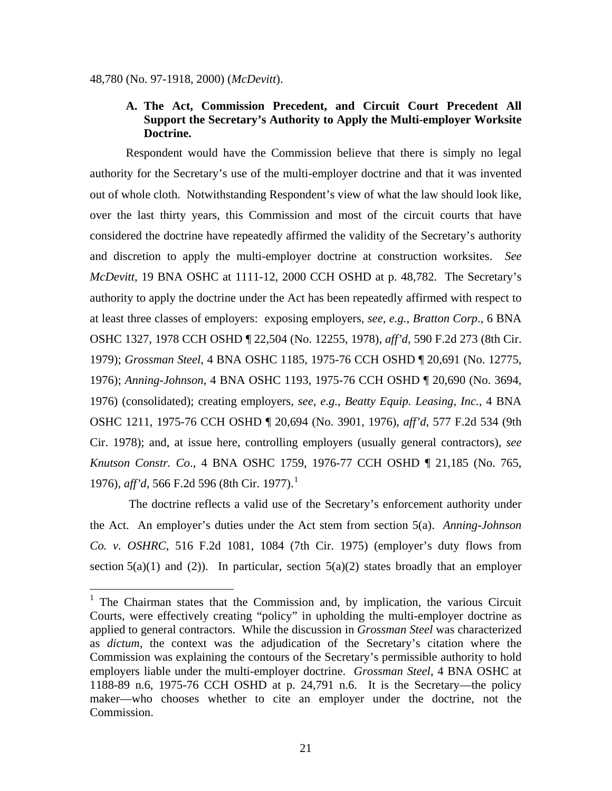#### 48,780 (No. 97-1918, 2000) (*McDevitt*).

# **A. The Act, Commission Precedent, and Circuit Court Precedent All Support the Secretary's Authority to Apply the Multi-employer Worksite Doctrine.**

Respondent would have the Commission believe that there is simply no legal authority for the Secretary's use of the multi-employer doctrine and that it was invented out of whole cloth. Notwithstanding Respondent's view of what the law should look like, over the last thirty years, this Commission and most of the circuit courts that have considered the doctrine have repeatedly affirmed the validity of the Secretary's authority and discretion to apply the multi-employer doctrine at construction worksites. *See McDevitt*, 19 BNA OSHC at 1111-12, 2000 CCH OSHD at p. 48,782. The Secretary's authority to apply the doctrine under the Act has been repeatedly affirmed with respect to at least three classes of employers: exposing employers, *see, e.g.*, *Bratton Corp*., 6 BNA OSHC 1327, 1978 CCH OSHD ¶ 22,504 (No. 12255, 1978), *aff'd*, 590 F.2d 273 (8th Cir. 1979); *Grossman Steel*, 4 BNA OSHC 1185, 1975-76 CCH OSHD ¶ 20,691 (No. 12775, 1976); *Anning-Johnson*, 4 BNA OSHC 1193, 1975-76 CCH OSHD ¶ 20,690 (No. 3694, 1976) (consolidated); creating employers, *see, e.g.*, *Beatty Equip. Leasing*, *Inc.*, 4 BNA OSHC 1211, 1975-76 CCH OSHD ¶ 20,694 (No. 3901, 1976), *aff'd*, 577 F.2d 534 (9th Cir. 1978); and, at issue here, controlling employers (usually general contractors), *see Knutson Constr. Co*., 4 BNA OSHC 1759, 1976-77 CCH OSHD ¶ 21,185 (No. 765, [1](#page-20-0)976), *aff'd*, 566 F.2d 596 (8th Cir. 1977).<sup>1</sup>

 The doctrine reflects a valid use of the Secretary's enforcement authority under the Act. An employer's duties under the Act stem from section 5(a). *Anning-Johnson Co. v. OSHRC*, 516 F.2d 1081, 1084 (7th Cir. 1975) (employer's duty flows from section  $5(a)(1)$  and (2)). In particular, section  $5(a)(2)$  states broadly that an employer

<span id="page-20-0"></span><sup>&</sup>lt;sup>1</sup> The Chairman states that the Commission and, by implication, the various Circuit Courts, were effectively creating "policy" in upholding the multi-employer doctrine as applied to general contractors. While the discussion in *Grossman Steel* was characterized as *dictum*, the context was the adjudication of the Secretary's citation where the Commission was explaining the contours of the Secretary's permissible authority to hold employers liable under the multi-employer doctrine. *Grossman Steel*, 4 BNA OSHC at 1188-89 n.6, 1975-76 CCH OSHD at p. 24,791 n.6. It is the Secretary—the policy maker—who chooses whether to cite an employer under the doctrine, not the Commission.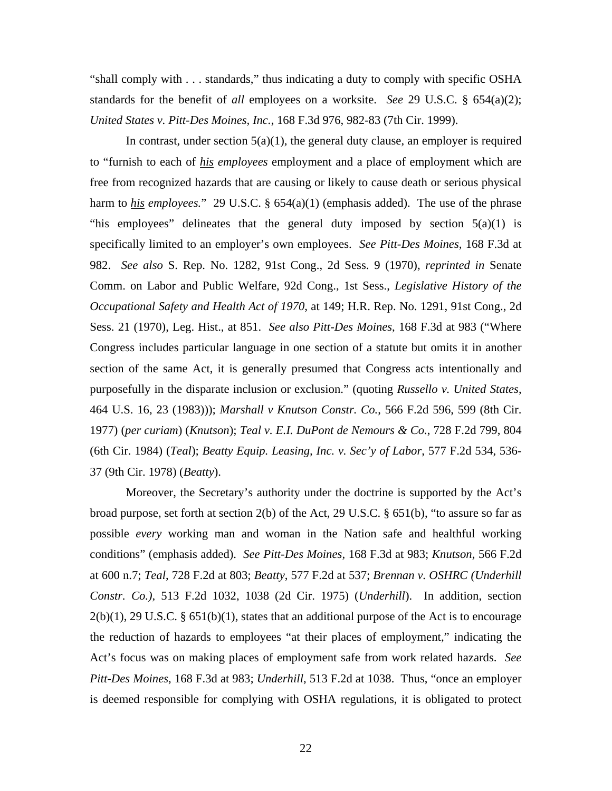"shall comply with . . . standards," thus indicating a duty to comply with specific OSHA standards for the benefit of *all* employees on a worksite. *See* 29 U.S.C. § 654(a)(2); *United States v. Pitt-Des Moines, Inc.*, 168 F.3d 976, 982-83 (7th Cir. 1999).

In contrast, under section  $5(a)(1)$ , the general duty clause, an employer is required to "furnish to each of *his employees* employment and a place of employment which are free from recognized hazards that are causing or likely to cause death or serious physical harm to *his employees.*" 29 U.S.C. § 654(a)(1) (emphasis added). The use of the phrase "his employees" delineates that the general duty imposed by section  $5(a)(1)$  is specifically limited to an employer's own employees. *See Pitt-Des Moines,* 168 F.3d at 982. *See also* S. Rep. No. 1282, 91st Cong., 2d Sess. 9 (1970), *reprinted in* Senate Comm. on Labor and Public Welfare, 92d Cong., 1st Sess., *Legislative History of the Occupational Safety and Health Act of 1970*, at 149; H.R. Rep. No. 1291, 91st Cong., 2d Sess. 21 (1970), Leg. Hist., at 851. *See also Pitt-Des Moines*, 168 F.3d at 983 ("Where Congress includes particular language in one section of a statute but omits it in another section of the same Act, it is generally presumed that Congress acts intentionally and purposefully in the disparate inclusion or exclusion." (quoting *Russello v. United States*, 464 U.S. 16, 23 (1983))); *Marshall v Knutson Constr. Co.*, 566 F.2d 596, 599 (8th Cir. 1977) (*per curiam*) (*Knutson*); *Teal v. E.I. DuPont de Nemours & Co.*, 728 F.2d 799, 804 (6th Cir. 1984) (*Teal*); *Beatty Equip. Leasing, Inc. v. Sec'y of Labor*, 577 F.2d 534, 536- 37 (9th Cir. 1978) (*Beatty*).

 Moreover, the Secretary's authority under the doctrine is supported by the Act's broad purpose, set forth at section 2(b) of the Act, 29 U.S.C. § 651(b), "to assure so far as possible *every* working man and woman in the Nation safe and healthful working conditions" (emphasis added). *See Pitt-Des Moines,* 168 F.3d at 983; *Knutson,* 566 F.2d at 600 n.7; *Teal*, 728 F.2d at 803; *Beatty*, 577 F.2d at 537; *Brennan v. OSHRC (Underhill Constr. Co.)*, 513 F.2d 1032, 1038 (2d Cir. 1975) (*Underhill*). In addition, section  $2(b)(1)$ , 29 U.S.C. § 651(b)(1), states that an additional purpose of the Act is to encourage the reduction of hazards to employees "at their places of employment," indicating the Act's focus was on making places of employment safe from work related hazards. *See Pitt-Des Moines*, 168 F.3d at 983; *Underhill*, 513 F.2d at 1038. Thus, "once an employer is deemed responsible for complying with OSHA regulations, it is obligated to protect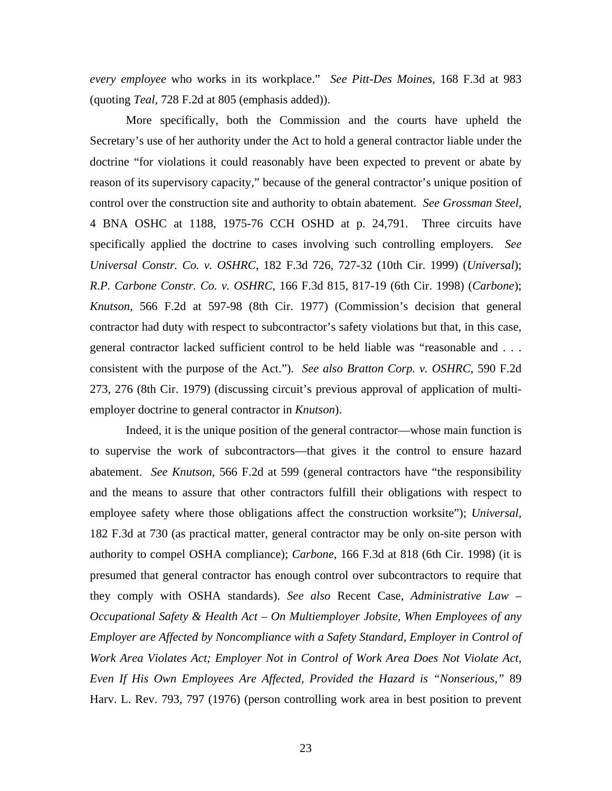*every employee* who works in its workplace." *See Pitt-Des Moines*, 168 F.3d at 983 (quoting *Teal*, 728 F.2d at 805 (emphasis added)).

More specifically, both the Commission and the courts have upheld the Secretary's use of her authority under the Act to hold a general contractor liable under the doctrine "for violations it could reasonably have been expected to prevent or abate by reason of its supervisory capacity," because of the general contractor's unique position of control over the construction site and authority to obtain abatement. *See Grossman Steel*, 4 BNA OSHC at 1188, 1975-76 CCH OSHD at p. 24,791. Three circuits have specifically applied the doctrine to cases involving such controlling employers. *See Universal Constr. Co. v. OSHRC*, 182 F.3d 726, 727-32 (10th Cir. 1999) (*Universal*); *R.P. Carbone Constr. Co. v. OSHRC*, 166 F.3d 815, 817-19 (6th Cir. 1998) (*Carbone*); *Knutson*, 566 F.2d at 597-98 (8th Cir. 1977) (Commission's decision that general contractor had duty with respect to subcontractor's safety violations but that, in this case, general contractor lacked sufficient control to be held liable was "reasonable and . . . consistent with the purpose of the Act."). *See also Bratton Corp. v. OSHRC*, 590 F.2d 273, 276 (8th Cir. 1979) (discussing circuit's previous approval of application of multiemployer doctrine to general contractor in *Knutson*).

Indeed, it is the unique position of the general contractor—whose main function is to supervise the work of subcontractors—that gives it the control to ensure hazard abatement. *See Knutson*, 566 F.2d at 599 (general contractors have "the responsibility and the means to assure that other contractors fulfill their obligations with respect to employee safety where those obligations affect the construction worksite"); *Universal*, 182 F.3d at 730 (as practical matter, general contractor may be only on-site person with authority to compel OSHA compliance); *Carbone*, 166 F.3d at 818 (6th Cir. 1998) (it is presumed that general contractor has enough control over subcontractors to require that they comply with OSHA standards). *See also* Recent Case, *Administrative Law – Occupational Safety & Health Act – On Multiemployer Jobsite, When Employees of any Employer are Affected by Noncompliance with a Safety Standard, Employer in Control of Work Area Violates Act; Employer Not in Control of Work Area Does Not Violate Act, Even If His Own Employees Are Affected, Provided the Hazard is "Nonserious,"* 89 Harv. L. Rev. 793, 797 (1976) (person controlling work area in best position to prevent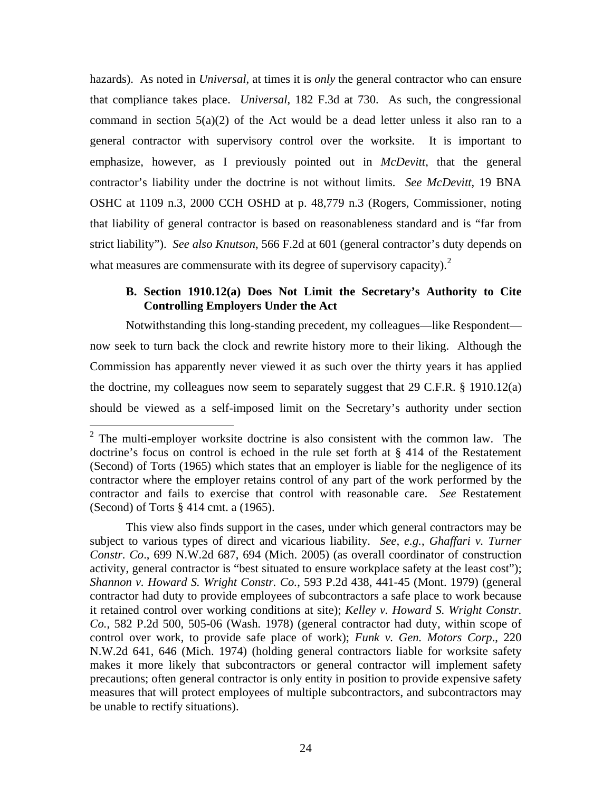hazards). As noted in *Universal*, at times it is *only* the general contractor who can ensure that compliance takes place. *Universal*, 182 F.3d at 730. As such, the congressional command in section  $5(a)(2)$  of the Act would be a dead letter unless it also ran to a general contractor with supervisory control over the worksite. It is important to emphasize, however, as I previously pointed out in *McDevitt*, that the general contractor's liability under the doctrine is not without limits. *See McDevitt*, 19 BNA OSHC at 1109 n.3, 2000 CCH OSHD at p. 48,779 n.3 (Rogers, Commissioner, noting that liability of general contractor is based on reasonableness standard and is "far from strict liability"). *See also Knutson*, 566 F.2d at 601 (general contractor's duty depends on what measures are commensurate with its degree of supervisory capacity).<sup>[2](#page-23-0)</sup>

# **B. Section 1910.12(a) Does Not Limit the Secretary's Authority to Cite Controlling Employers Under the Act**

Notwithstanding this long-standing precedent, my colleagues—like Respondent now seek to turn back the clock and rewrite history more to their liking. Although the Commission has apparently never viewed it as such over the thirty years it has applied the doctrine, my colleagues now seem to separately suggest that 29 C.F.R.  $\S$  1910.12(a) should be viewed as a self-imposed limit on the Secretary's authority under section

<span id="page-23-0"></span><sup>&</sup>lt;sup>2</sup> The multi-employer worksite doctrine is also consistent with the common law. The doctrine's focus on control is echoed in the rule set forth at § 414 of the Restatement (Second) of Torts (1965) which states that an employer is liable for the negligence of its contractor where the employer retains control of any part of the work performed by the contractor and fails to exercise that control with reasonable care. *See* Restatement (Second) of Torts § 414 cmt. a (1965).

This view also finds support in the cases, under which general contractors may be subject to various types of direct and vicarious liability. *See, e.g.*, *Ghaffari v. Turner Constr. Co*., 699 N.W.2d 687, 694 (Mich. 2005) (as overall coordinator of construction activity, general contractor is "best situated to ensure workplace safety at the least cost"); *Shannon v. Howard S. Wright Constr. Co.*, 593 P.2d 438, 441-45 (Mont. 1979) (general contractor had duty to provide employees of subcontractors a safe place to work because it retained control over working conditions at site); *Kelley v. Howard S. Wright Constr. Co.*, 582 P.2d 500, 505-06 (Wash. 1978) (general contractor had duty, within scope of control over work, to provide safe place of work); *Funk v. Gen. Motors Corp*., 220 N.W.2d 641, 646 (Mich. 1974) (holding general contractors liable for worksite safety makes it more likely that subcontractors or general contractor will implement safety precautions; often general contractor is only entity in position to provide expensive safety measures that will protect employees of multiple subcontractors, and subcontractors may be unable to rectify situations).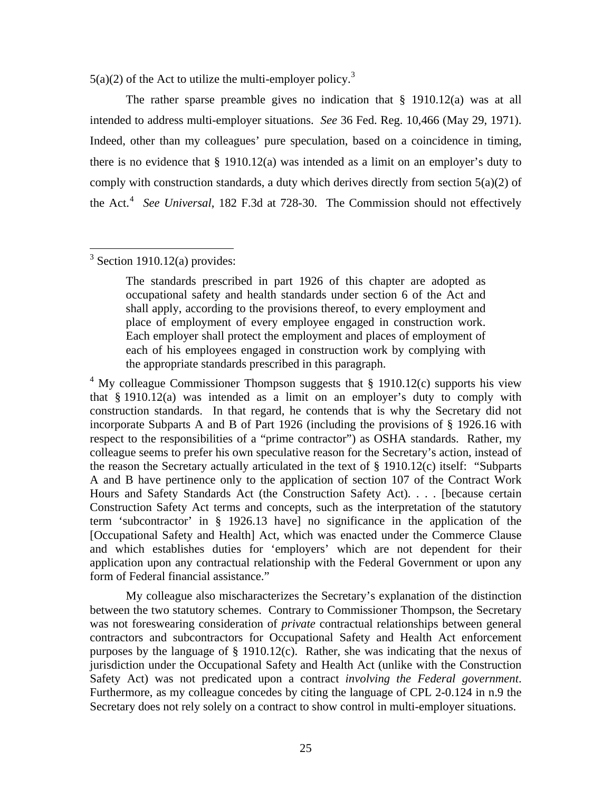$5(a)(2)$  of the Act to utilize the multi-employer policy.<sup>[3](#page-24-0)</sup>

The rather sparse preamble gives no indication that § 1910.12(a) was at all intended to address multi-employer situations. *See* 36 Fed. Reg. 10,466 (May 29, 1971). Indeed, other than my colleagues' pure speculation, based on a coincidence in timing, there is no evidence that  $\S$  1910.12(a) was intended as a limit on an employer's duty to comply with construction standards, a duty which derives directly from section  $5(a)(2)$  of the Act.<sup>[4](#page-24-1)</sup> See Universal, 182 F.3d at 728-30. The Commission should not effectively

# <span id="page-24-0"></span> $\frac{3}{3}$  Section 1910.12(a) provides:

<span id="page-24-1"></span><sup>4</sup> My colleague Commissioner Thompson suggests that  $\S$  1910.12(c) supports his view that § 1910.12(a) was intended as a limit on an employer's duty to comply with construction standards. In that regard, he contends that is why the Secretary did not incorporate Subparts A and B of Part 1926 (including the provisions of § 1926.16 with respect to the responsibilities of a "prime contractor") as OSHA standards. Rather, my colleague seems to prefer his own speculative reason for the Secretary's action, instead of the reason the Secretary actually articulated in the text of § 1910.12(c) itself: "Subparts A and B have pertinence only to the application of section 107 of the Contract Work Hours and Safety Standards Act (the Construction Safety Act). . . . [because certain Construction Safety Act terms and concepts, such as the interpretation of the statutory term 'subcontractor' in § 1926.13 have] no significance in the application of the [Occupational Safety and Health] Act, which was enacted under the Commerce Clause and which establishes duties for 'employers' which are not dependent for their application upon any contractual relationship with the Federal Government or upon any form of Federal financial assistance."

My colleague also mischaracterizes the Secretary's explanation of the distinction between the two statutory schemes. Contrary to Commissioner Thompson, the Secretary was not foreswearing consideration of *private* contractual relationships between general contractors and subcontractors for Occupational Safety and Health Act enforcement purposes by the language of § 1910.12(c). Rather, she was indicating that the nexus of jurisdiction under the Occupational Safety and Health Act (unlike with the Construction Safety Act) was not predicated upon a contract *involving the Federal government*. Furthermore, as my colleague concedes by citing the language of CPL 2-0.124 in n.9 the Secretary does not rely solely on a contract to show control in multi-employer situations.

The standards prescribed in part 1926 of this chapter are adopted as occupational safety and health standards under section 6 of the Act and shall apply, according to the provisions thereof, to every employment and place of employment of every employee engaged in construction work. Each employer shall protect the employment and places of employment of each of his employees engaged in construction work by complying with the appropriate standards prescribed in this paragraph.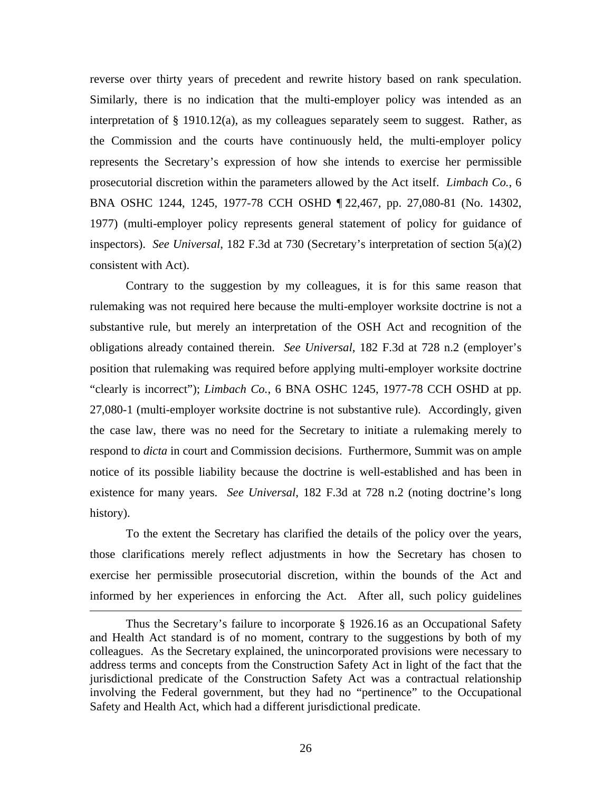reverse over thirty years of precedent and rewrite history based on rank speculation. Similarly, there is no indication that the multi-employer policy was intended as an interpretation of § 1910.12(a), as my colleagues separately seem to suggest. Rather, as the Commission and the courts have continuously held, the multi-employer policy represents the Secretary's expression of how she intends to exercise her permissible prosecutorial discretion within the parameters allowed by the Act itself. *Limbach Co.*, 6 BNA OSHC 1244, 1245, 1977-78 CCH OSHD ¶ 22,467, pp. 27,080-81 (No. 14302, 1977) (multi-employer policy represents general statement of policy for guidance of inspectors). *See Universal*, 182 F.3d at 730 (Secretary's interpretation of section 5(a)(2) consistent with Act).

Contrary to the suggestion by my colleagues, it is for this same reason that rulemaking was not required here because the multi-employer worksite doctrine is not a substantive rule, but merely an interpretation of the OSH Act and recognition of the obligations already contained therein. *See Universal*, 182 F.3d at 728 n.2 (employer's position that rulemaking was required before applying multi-employer worksite doctrine "clearly is incorrect"); *Limbach Co.*, 6 BNA OSHC 1245, 1977-78 CCH OSHD at pp. 27,080-1 (multi-employer worksite doctrine is not substantive rule). Accordingly, given the case law, there was no need for the Secretary to initiate a rulemaking merely to respond to *dicta* in court and Commission decisions. Furthermore, Summit was on ample notice of its possible liability because the doctrine is well-established and has been in existence for many years. *See Universal*, 182 F.3d at 728 n.2 (noting doctrine's long history).

To the extent the Secretary has clarified the details of the policy over the years, those clarifications merely reflect adjustments in how the Secretary has chosen to exercise her permissible prosecutorial discretion, within the bounds of the Act and informed by her experiences in enforcing the Act. After all, such policy guidelines

 $\overline{a}$ 

Thus the Secretary's failure to incorporate § 1926.16 as an Occupational Safety and Health Act standard is of no moment, contrary to the suggestions by both of my colleagues. As the Secretary explained, the unincorporated provisions were necessary to address terms and concepts from the Construction Safety Act in light of the fact that the jurisdictional predicate of the Construction Safety Act was a contractual relationship involving the Federal government, but they had no "pertinence" to the Occupational Safety and Health Act, which had a different jurisdictional predicate.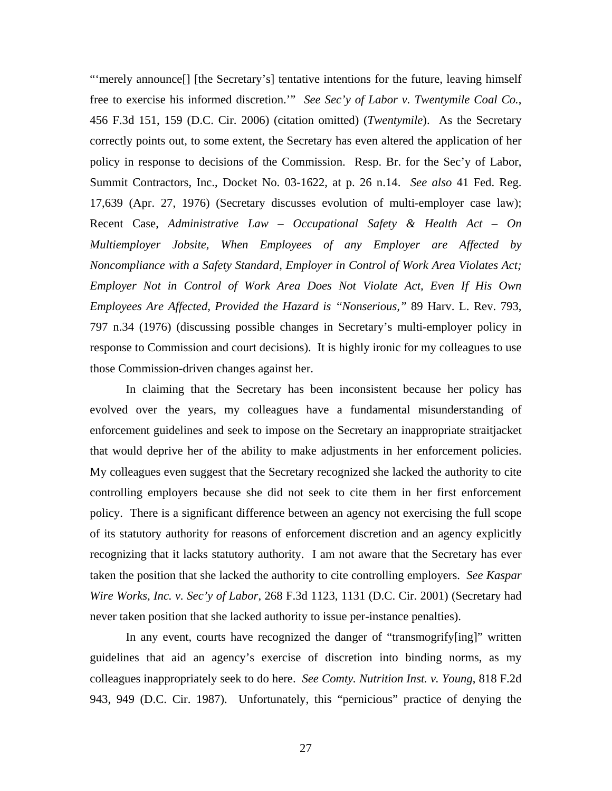"'merely announce[] [the Secretary's] tentative intentions for the future, leaving himself free to exercise his informed discretion.'" *See Sec'y of Labor v. Twentymile Coal Co.*, 456 F.3d 151, 159 (D.C. Cir. 2006) (citation omitted) (*Twentymile*). As the Secretary correctly points out, to some extent, the Secretary has even altered the application of her policy in response to decisions of the Commission. Resp. Br. for the Sec'y of Labor, Summit Contractors, Inc., Docket No. 03-1622, at p. 26 n.14. *See also* 41 Fed. Reg. 17,639 (Apr. 27, 1976) (Secretary discusses evolution of multi-employer case law); Recent Case, *Administrative Law – Occupational Safety & Health Act – On Multiemployer Jobsite, When Employees of any Employer are Affected by Noncompliance with a Safety Standard, Employer in Control of Work Area Violates Act; Employer Not in Control of Work Area Does Not Violate Act, Even If His Own Employees Are Affected, Provided the Hazard is "Nonserious,"* 89 Harv. L. Rev. 793, 797 n.34 (1976) (discussing possible changes in Secretary's multi-employer policy in response to Commission and court decisions). It is highly ironic for my colleagues to use those Commission-driven changes against her.

In claiming that the Secretary has been inconsistent because her policy has evolved over the years, my colleagues have a fundamental misunderstanding of enforcement guidelines and seek to impose on the Secretary an inappropriate straitjacket that would deprive her of the ability to make adjustments in her enforcement policies. My colleagues even suggest that the Secretary recognized she lacked the authority to cite controlling employers because she did not seek to cite them in her first enforcement policy. There is a significant difference between an agency not exercising the full scope of its statutory authority for reasons of enforcement discretion and an agency explicitly recognizing that it lacks statutory authority. I am not aware that the Secretary has ever taken the position that she lacked the authority to cite controlling employers. *See Kaspar Wire Works, Inc. v. Sec'y of Labor*, 268 F.3d 1123, 1131 (D.C. Cir. 2001) (Secretary had never taken position that she lacked authority to issue per-instance penalties).

In any event, courts have recognized the danger of "transmogrify[ing]" written guidelines that aid an agency's exercise of discretion into binding norms, as my colleagues inappropriately seek to do here. *See Comty. Nutrition Inst. v. Young*, 818 F.2d 943, 949 (D.C. Cir. 1987). Unfortunately, this "pernicious" practice of denying the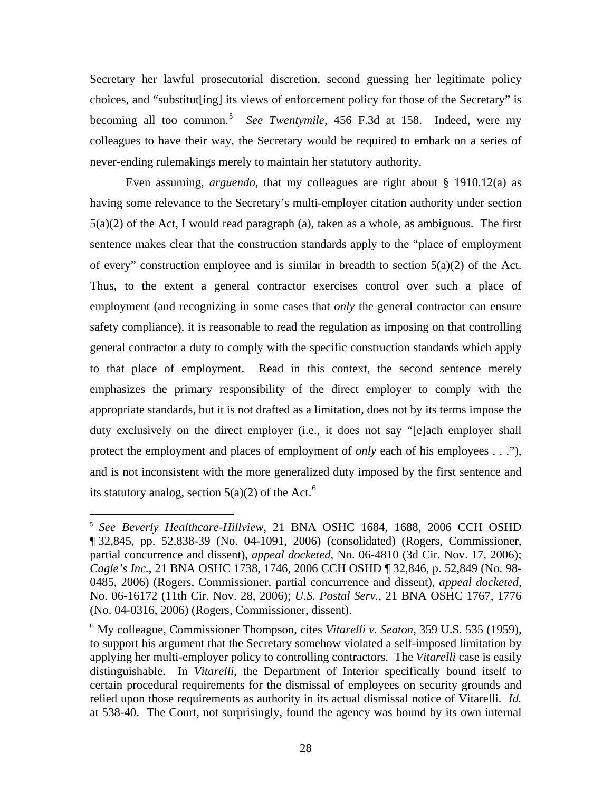Secretary her lawful prosecutorial discretion, second guessing her legitimate policy choices, and "substitut[ing] its views of enforcement policy for those of the Secretary" is becoming all too common.<sup>[5](#page-27-0)</sup> See Twentymile, 456 F.3d at 158. Indeed, were my colleagues to have their way, the Secretary would be required to embark on a series of never-ending rulemakings merely to maintain her statutory authority.

Even assuming, *arguendo*, that my colleagues are right about § 1910.12(a) as having some relevance to the Secretary's multi-employer citation authority under section  $5(a)(2)$  of the Act, I would read paragraph (a), taken as a whole, as ambiguous. The first sentence makes clear that the construction standards apply to the "place of employment of every" construction employee and is similar in breadth to section  $5(a)(2)$  of the Act. Thus, to the extent a general contractor exercises control over such a place of employment (and recognizing in some cases that *only* the general contractor can ensure safety compliance), it is reasonable to read the regulation as imposing on that controlling general contractor a duty to comply with the specific construction standards which apply to that place of employment. Read in this context, the second sentence merely emphasizes the primary responsibility of the direct employer to comply with the appropriate standards, but it is not drafted as a limitation, does not by its terms impose the duty exclusively on the direct employer (i.e., it does not say "[e]ach employer shall protect the employment and places of employment of *only* each of his employees . . ."), and is not inconsistent with the more generalized duty imposed by the first sentence and its statutory analog, section  $5(a)(2)$  of the Act.<sup>[6](#page-27-1)</sup>

 $\overline{a}$ 

<span id="page-27-0"></span><sup>5</sup> *See Beverly Healthcare-Hillview*, 21 BNA OSHC 1684, 1688, 2006 CCH OSHD ¶ 32,845, pp. 52,838-39 (No. 04-1091, 2006) (consolidated) (Rogers, Commissioner, partial concurrence and dissent), *appeal docketed*, No. 06-4810 (3d Cir. Nov. 17, 2006); *Cagle's Inc.*, 21 BNA OSHC 1738, 1746, 2006 CCH OSHD ¶ 32,846, p. 52,849 (No. 98- 0485, 2006) (Rogers, Commissioner, partial concurrence and dissent), *appeal docketed*, No. 06-16172 (11th Cir. Nov. 28, 2006); *U.S. Postal Serv.*, 21 BNA OSHC 1767, 1776 (No. 04-0316, 2006) (Rogers, Commissioner, dissent).

<span id="page-27-1"></span><sup>6</sup> My colleague, Commissioner Thompson, cites *Vitarelli v. Seaton*, 359 U.S. 535 (1959), to support his argument that the Secretary somehow violated a self-imposed limitation by applying her multi-employer policy to controlling contractors. The *Vitarelli* case is easily distinguishable. In *Vitarelli*, the Department of Interior specifically bound itself to certain procedural requirements for the dismissal of employees on security grounds and relied upon those requirements as authority in its actual dismissal notice of Vitarelli. *Id.* at 538-40. The Court, not surprisingly, found the agency was bound by its own internal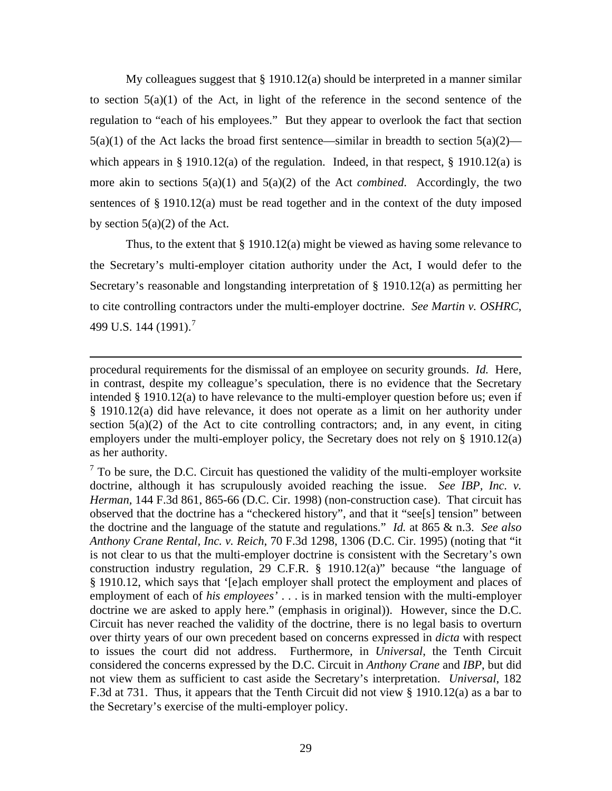My colleagues suggest that  $\S 1910.12(a)$  should be interpreted in a manner similar to section  $5(a)(1)$  of the Act, in light of the reference in the second sentence of the regulation to "each of his employees." But they appear to overlook the fact that section  $5(a)(1)$  of the Act lacks the broad first sentence—similar in breadth to section  $5(a)(2)$  which appears in § 1910.12(a) of the regulation. Indeed, in that respect, § 1910.12(a) is more akin to sections 5(a)(1) and 5(a)(2) of the Act *combined*. Accordingly, the two sentences of § 1910.12(a) must be read together and in the context of the duty imposed by section  $5(a)(2)$  of the Act.

Thus, to the extent that  $\S 1910.12(a)$  might be viewed as having some relevance to the Secretary's multi-employer citation authority under the Act, I would defer to the Secretary's reasonable and longstanding interpretation of § 1910.12(a) as permitting her to cite controlling contractors under the multi-employer doctrine. *See Martin v. OSHRC*, 499 U.S. 144 (1991).<sup>[7](#page-28-0)</sup>

<u>.</u>

procedural requirements for the dismissal of an employee on security grounds. *Id.* Here, in contrast, despite my colleague's speculation, there is no evidence that the Secretary intended  $\S 1910.12(a)$  to have relevance to the multi-employer question before us; even if § 1910.12(a) did have relevance, it does not operate as a limit on her authority under section  $5(a)(2)$  of the Act to cite controlling contractors; and, in any event, in citing employers under the multi-employer policy, the Secretary does not rely on § 1910.12(a) as her authority.

<span id="page-28-0"></span> $7$  To be sure, the D.C. Circuit has questioned the validity of the multi-employer worksite doctrine, although it has scrupulously avoided reaching the issue. *See IBP, Inc. v. Herman,* 144 F.3d 861, 865-66 (D.C. Cir. 1998) (non-construction case). That circuit has observed that the doctrine has a "checkered history", and that it "see[s] tension" between the doctrine and the language of the statute and regulations." *Id.* at 865 & n.3. *See also Anthony Crane Rental, Inc. v. Reich*, 70 F.3d 1298, 1306 (D.C. Cir. 1995) (noting that "it is not clear to us that the multi-employer doctrine is consistent with the Secretary's own construction industry regulation, 29 C.F.R.  $\S$  1910.12(a)" because "the language of § 1910.12, which says that '[e]ach employer shall protect the employment and places of employment of each of *his employees'* . . . is in marked tension with the multi-employer doctrine we are asked to apply here." (emphasis in original)). However, since the D.C. Circuit has never reached the validity of the doctrine, there is no legal basis to overturn over thirty years of our own precedent based on concerns expressed in *dicta* with respect to issues the court did not address. Furthermore, in *Universal*, the Tenth Circuit considered the concerns expressed by the D.C. Circuit in *Anthony Crane* and *IBP*, but did not view them as sufficient to cast aside the Secretary's interpretation. *Universal*, 182 F.3d at 731. Thus, it appears that the Tenth Circuit did not view § 1910.12(a) as a bar to the Secretary's exercise of the multi-employer policy.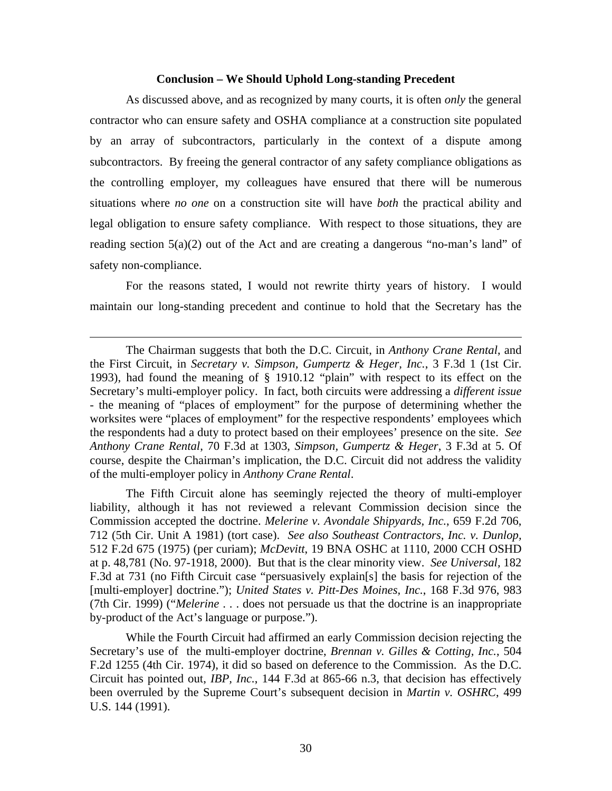#### **Conclusion – We Should Uphold Long-standing Precedent**

As discussed above, and as recognized by many courts, it is often *only* the general contractor who can ensure safety and OSHA compliance at a construction site populated by an array of subcontractors, particularly in the context of a dispute among subcontractors. By freeing the general contractor of any safety compliance obligations as the controlling employer, my colleagues have ensured that there will be numerous situations where *no one* on a construction site will have *both* the practical ability and legal obligation to ensure safety compliance. With respect to those situations, they are reading section 5(a)(2) out of the Act and are creating a dangerous "no-man's land" of safety non-compliance.

 For the reasons stated, I would not rewrite thirty years of history. I would maintain our long-standing precedent and continue to hold that the Secretary has the

 $\overline{a}$ 

 The Fifth Circuit alone has seemingly rejected the theory of multi-employer liability, although it has not reviewed a relevant Commission decision since the Commission accepted the doctrine. *Melerine v. Avondale Shipyards, Inc.*, 659 F.2d 706, 712 (5th Cir. Unit A 1981) (tort case). *See also Southeast Contractors, Inc. v. Dunlop,*  512 F.2d 675 (1975) (per curiam); *McDevitt*, 19 BNA OSHC at 1110, 2000 CCH OSHD at p. 48,781 (No. 97-1918, 2000). But that is the clear minority view. *See Universal,* 182 F.3d at 731 (no Fifth Circuit case "persuasively explain[s] the basis for rejection of the [multi-employer] doctrine."); *United States v. Pitt-Des Moines, Inc.*, 168 F.3d 976, 983 (7th Cir. 1999) ("*Melerine* . . . does not persuade us that the doctrine is an inappropriate by-product of the Act's language or purpose.").

 While the Fourth Circuit had affirmed an early Commission decision rejecting the Secretary's use of the multi-employer doctrine, *Brennan v. Gilles & Cotting, Inc.*, 504 F.2d 1255 (4th Cir. 1974), it did so based on deference to the Commission. As the D.C. Circuit has pointed out, *IBP, Inc.*, 144 F.3d at 865-66 n.3, that decision has effectively been overruled by the Supreme Court's subsequent decision in *Martin v. OSHRC*, 499 U.S. 144 (1991).

The Chairman suggests that both the D.C. Circuit, in *Anthony Crane Rental*, and the First Circuit, in *Secretary v. Simpson, Gumpertz & Heger, Inc.*, 3 F.3d 1 (1st Cir. 1993), had found the meaning of § 1910.12 "plain" with respect to its effect on the Secretary's multi-employer policy. In fact, both circuits were addressing a *different issue* - the meaning of "places of employment" for the purpose of determining whether the worksites were "places of employment" for the respective respondents' employees which the respondents had a duty to protect based on their employees' presence on the site. *See Anthony Crane Rental*, 70 F.3d at 1303, *Simpson, Gumpertz & Heger*, 3 F.3d at 5. Of course, despite the Chairman's implication, the D.C. Circuit did not address the validity of the multi-employer policy in *Anthony Crane Rental*.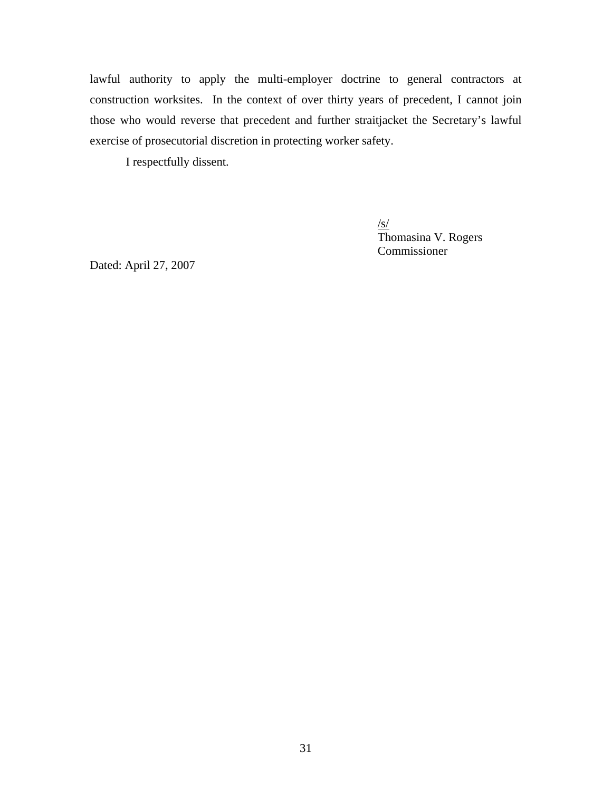lawful authority to apply the multi-employer doctrine to general contractors at construction worksites. In the context of over thirty years of precedent, I cannot join those who would reverse that precedent and further straitjacket the Secretary's lawful exercise of prosecutorial discretion in protecting worker safety.

I respectfully dissent.

 $\sqrt{s/2}$  $\frac{S}{S}$ <br>Thomasina V. Rogers Commissioner

Dated: April 27, 2007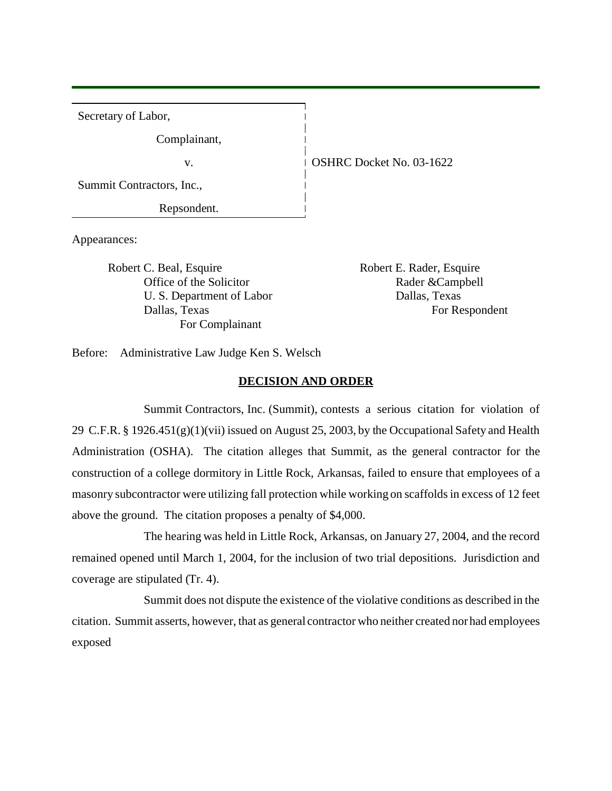Secretary of Labor,

Complainant,

v. **I** OSHRC Docket No. 03-1622

Summit Contractors, Inc.,

Repsondent.

Appearances:

Robert C. Beal, Esquire Robert E. Rader, Esquire Office of the Solicitor Rader &Campbell U. S. Department of Labor Dallas, Texas For Complainant

Dallas, Texas For Respondent

Before: Administrative Law Judge Ken S. Welsch

#### **DECISION AND ORDER**

Summit Contractors, Inc. (Summit), contests a serious citation for violation of 29 C.F.R. § 1926.451(g)(1)(vii) issued on August 25, 2003, by the Occupational Safety and Health Administration (OSHA). The citation alleges that Summit, as the general contractor for the construction of a college dormitory in Little Rock, Arkansas, failed to ensure that employees of a masonry subcontractor were utilizing fall protection while working on scaffolds in excess of 12 feet above the ground. The citation proposes a penalty of \$4,000.

The hearing was held in Little Rock, Arkansas, on January 27, 2004, and the record remained opened until March 1, 2004, for the inclusion of two trial depositions. Jurisdiction and coverage are stipulated (Tr. 4).

Summit does not dispute the existence of the violative conditions as described in the citation. Summit asserts, however, that as general contractor who neither created nor had employees exposed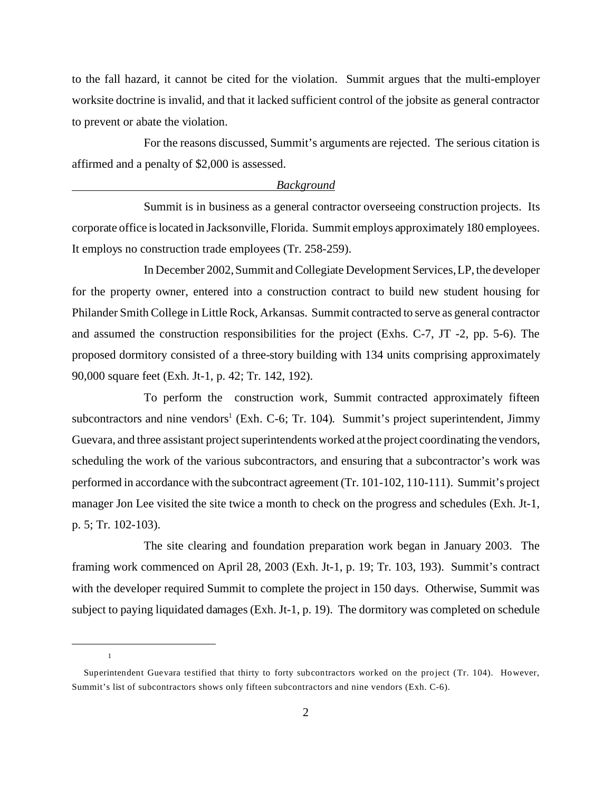to the fall hazard, it cannot be cited for the violation. Summit argues that the multi-employer worksite doctrine is invalid, and that it lacked sufficient control of the jobsite as general contractor to prevent or abate the violation.

For the reasons discussed, Summit's arguments are rejected. The serious citation is affirmed and a penalty of \$2,000 is assessed.

#### *Background*

Summit is in business as a general contractor overseeing construction projects. Its corporate office is located in Jacksonville, Florida. Summit employs approximately 180 employees. It employs no construction trade employees (Tr. 258-259).

In December 2002, Summit and Collegiate Development Services, LP, the developer for the property owner, entered into a construction contract to build new student housing for Philander Smith College in Little Rock, Arkansas. Summit contracted to serve as general contractor and assumed the construction responsibilities for the project (Exhs. C-7, JT -2, pp. 5-6). The proposed dormitory consisted of a three-story building with 134 units comprising approximately 90,000 square feet (Exh. Jt-1, p. 42; Tr. 142, 192).

To perform the construction work, Summit contracted approximately fifteen subcontractors and nine vendors<sup>1</sup> (Exh. C-6; Tr. 104). Summit's project superintendent, Jimmy Guevara, and three assistant project superintendents worked at the project coordinating the vendors, scheduling the work of the various subcontractors, and ensuring that a subcontractor's work was performed in accordance with the subcontract agreement (Tr. 101-102, 110-111). Summit's project manager Jon Lee visited the site twice a month to check on the progress and schedules (Exh. Jt-1, p. 5; Tr. 102-103).

The site clearing and foundation preparation work began in January 2003. The framing work commenced on April 28, 2003 (Exh. Jt-1, p. 19; Tr. 103, 193). Summit's contract with the developer required Summit to complete the project in 150 days. Otherwise, Summit was subject to paying liquidated damages (Exh. Jt-1, p. 19). The dormitory was completed on schedule

1

Superintendent Guevara testified that thirty to forty subcontractors worked on the project (Tr. 104). However, Summit's list of subcontractors shows only fifteen subcontractors and nine vendors (Exh. C-6).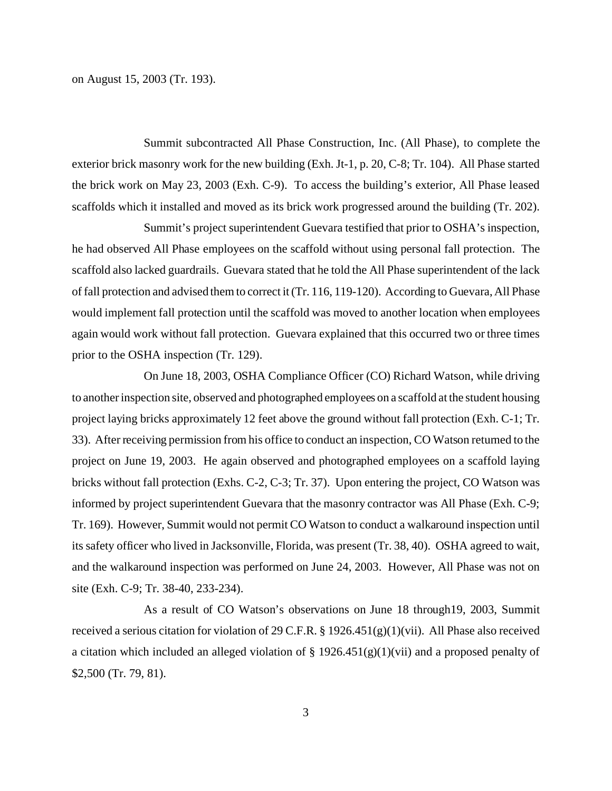on August 15, 2003 (Tr. 193).

Summit subcontracted All Phase Construction, Inc. (All Phase), to complete the exterior brick masonry work for the new building (Exh. Jt-1, p. 20, C-8; Tr. 104). All Phase started the brick work on May 23, 2003 (Exh. C-9). To access the building's exterior, All Phase leased scaffolds which it installed and moved as its brick work progressed around the building (Tr. 202).

Summit's project superintendent Guevara testified that prior to OSHA's inspection, he had observed All Phase employees on the scaffold without using personal fall protection. The scaffold also lacked guardrails. Guevara stated that he told the All Phase superintendent of the lack of fall protection and advised them to correct it (Tr. 116, 119-120). According to Guevara, All Phase would implement fall protection until the scaffold was moved to another location when employees again would work without fall protection. Guevara explained that this occurred two or three times prior to the OSHA inspection (Tr. 129).

On June 18, 2003, OSHA Compliance Officer (CO) Richard Watson, while driving to another inspection site, observed and photographed employees on a scaffold at the student housing project laying bricks approximately 12 feet above the ground without fall protection (Exh. C-1; Tr. 33). After receiving permission from his office to conduct an inspection, CO Watson returned to the project on June 19, 2003. He again observed and photographed employees on a scaffold laying bricks without fall protection (Exhs. C-2, C-3; Tr. 37). Upon entering the project, CO Watson was informed by project superintendent Guevara that the masonry contractor was All Phase (Exh. C-9; Tr. 169). However, Summit would not permit CO Watson to conduct a walkaround inspection until its safety officer who lived in Jacksonville, Florida, was present (Tr. 38, 40). OSHA agreed to wait, and the walkaround inspection was performed on June 24, 2003. However, All Phase was not on site (Exh. C-9; Tr. 38-40, 233-234).

As a result of CO Watson's observations on June 18 through19, 2003, Summit received a serious citation for violation of 29 C.F.R. § 1926.451(g)(1)(vii). All Phase also received a citation which included an alleged violation of § 1926.451(g)(1)(vii) and a proposed penalty of \$2,500 (Tr. 79, 81).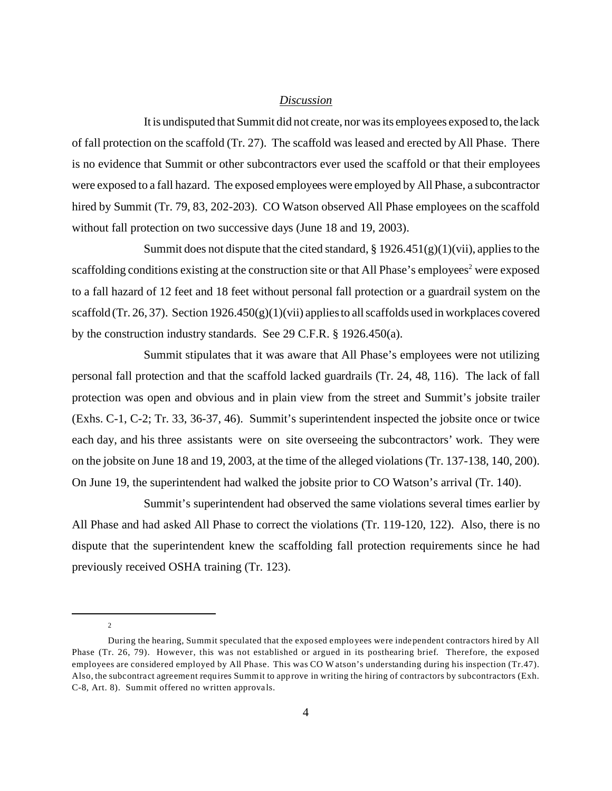#### *Discussion*

It is undisputed that Summit did not create, nor was its employees exposed to, the lack of fall protection on the scaffold (Tr. 27). The scaffold was leased and erected by All Phase. There is no evidence that Summit or other subcontractors ever used the scaffold or that their employees were exposed to a fall hazard. The exposed employees were employed by All Phase, a subcontractor hired by Summit (Tr. 79, 83, 202-203). CO Watson observed All Phase employees on the scaffold without fall protection on two successive days (June 18 and 19, 2003).

Summit does not dispute that the cited standard,  $\S 1926.451(g)(1)(vii)$ , applies to the scaffolding conditions existing at the construction site or that All Phase's employees<sup>2</sup> were exposed to a fall hazard of 12 feet and 18 feet without personal fall protection or a guardrail system on the scaffold (Tr. 26, 37). Section 1926.450(g)(1)(vii) applies to all scaffolds used in workplaces covered by the construction industry standards. See 29 C.F.R. § 1926.450(a).

Summit stipulates that it was aware that All Phase's employees were not utilizing personal fall protection and that the scaffold lacked guardrails (Tr. 24, 48, 116). The lack of fall protection was open and obvious and in plain view from the street and Summit's jobsite trailer (Exhs. C-1, C-2; Tr. 33, 36-37, 46). Summit's superintendent inspected the jobsite once or twice each day, and his three assistants were on site overseeing the subcontractors' work. They were on the jobsite on June 18 and 19, 2003, at the time of the alleged violations (Tr. 137-138, 140, 200). On June 19, the superintendent had walked the jobsite prior to CO Watson's arrival (Tr. 140).

Summit's superintendent had observed the same violations several times earlier by All Phase and had asked All Phase to correct the violations (Tr. 119-120, 122). Also, there is no dispute that the superintendent knew the scaffolding fall protection requirements since he had previously received OSHA training (Tr. 123).

2

During the hearing, Summit speculated that the exposed employees were independent contractors hired by All Phase (Tr. 26, 79). However, this was not established or argued in its posthearing brief. Therefore, the exposed employees are considered employed by All Phase. This was CO Watson's understanding during his inspection (Tr.47). Also, the subcontract agreement requires Summit to approve in writing the hiring of contractors by subcontractors (Exh. C-8, Art. 8). Summit offered no written approvals.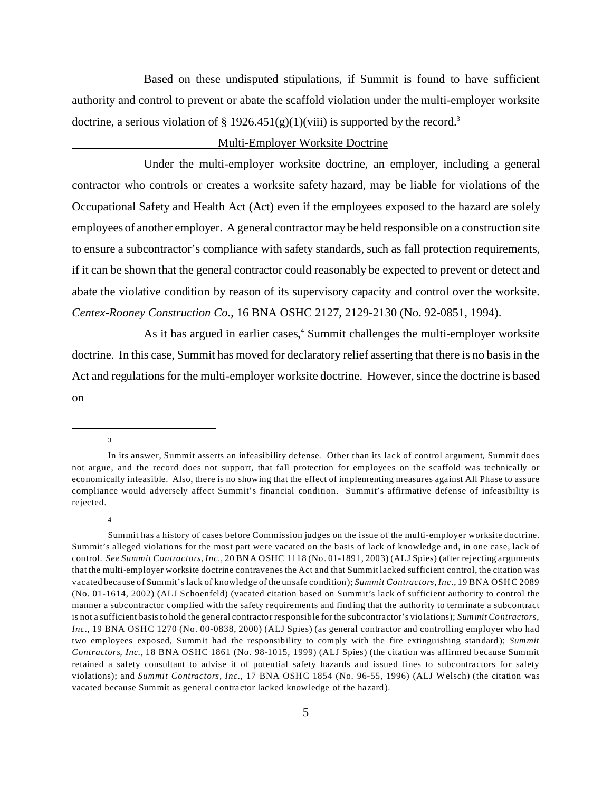Based on these undisputed stipulations, if Summit is found to have sufficient authority and control to prevent or abate the scaffold violation under the multi-employer worksite doctrine, a serious violation of § 1926.451(g)(1)(viii) is supported by the record.<sup>3</sup>

#### Multi-Employer Worksite Doctrine

Under the multi-employer worksite doctrine, an employer, including a general contractor who controls or creates a worksite safety hazard, may be liable for violations of the Occupational Safety and Health Act (Act) even if the employees exposed to the hazard are solely employees of another employer. A general contractor may be held responsible on a construction site to ensure a subcontractor's compliance with safety standards, such as fall protection requirements, if it can be shown that the general contractor could reasonably be expected to prevent or detect and abate the violative condition by reason of its supervisory capacity and control over the worksite. *Centex-Rooney Construction Co.*, 16 BNA OSHC 2127, 2129-2130 (No. 92-0851, 1994).

As it has argued in earlier cases, 4 Summit challenges the multi-employer worksite doctrine. In this case, Summit has moved for declaratory relief asserting that there is no basis in the Act and regulations for the multi-employer worksite doctrine. However, since the doctrine is based on

4

<sup>3</sup>

In its answer, Summit asserts an infeasibility defense. Other than its lack of control argument, Summit does not argue, and the record does not support, that fall protection for employees on the scaffold was technically or economically infeasible. Also, there is no showing that the effect of implementing measures against All Phase to assure compliance would adversely affect Summit's financial condition. Summit's affirmative defense of infeasibility is rejected.

Summit has a history of cases before Commission judges on the issue of the multi-employer worksite doctrine. Summit's alleged violations for the most part were vacated on the basis of lack of knowledge and, in one case, lack of control. *See Summit Contractors, Inc*., 20 BNA OSHC 1118 (No. 01-1891, 2003) (ALJ Spies) (after rejecting arguments that the multi-employer worksite doctrine contravenes the Act and that Summit lacked sufficient control, the citation was vacated because of Summit's lack of knowledge of the unsafe condition); *Summit Contractors, Inc*., 19 BNA OSHC 2089 (No. 01-1614, 2002) (ALJ Schoenfeld) (vacated citation based on Summit's lack of sufficient authority to control the manner a subcontractor complied with the safety requirements and finding that the authority to terminate a subcontract is not a sufficient basisto hold the general contractor responsible for the subcontractor's violations); *Summit Contractors, Inc*., 19 BNA OSHC 1270 (No. 00-0838, 2000) (ALJ Spies) (as general contractor and controlling employer who had two employees exposed, Summit had the responsibility to comply with the fire extinguishing standard); *Summit Contractors, Inc*., 18 BNA OSHC 1861 (No. 98-1015, 1999) (ALJ Spies) (the citation was affirmed because Summit retained a safety consultant to advise it of potential safety hazards and issued fines to subcontractors for safety violations); and *Summit Contractors, Inc*., 17 BNA OSHC 1854 (No. 96-55, 1996) (ALJ Welsch) (the citation was vacated because Summit as general contractor lacked knowledge of the hazard).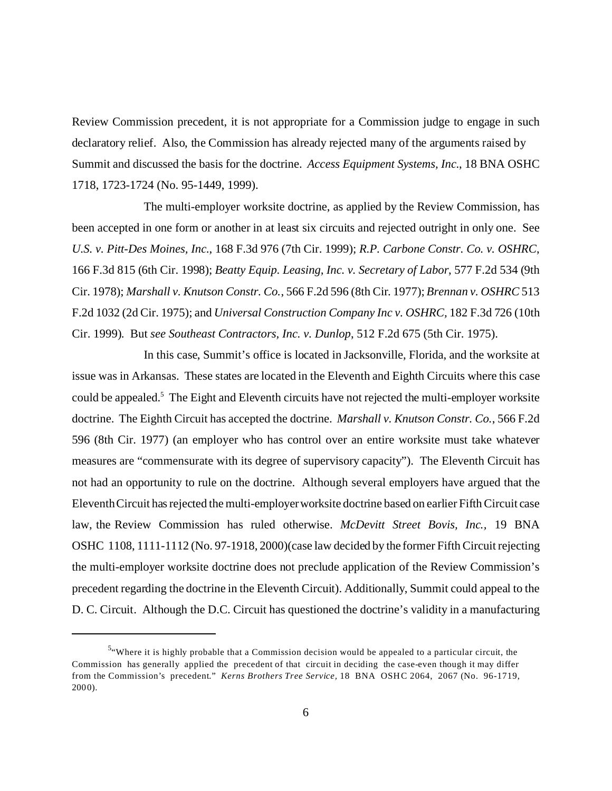Review Commission precedent, it is not appropriate for a Commission judge to engage in such declaratory relief. Also, the Commission has already rejected many of the arguments raised by Summit and discussed the basis for the doctrine. *Access Equipment Systems, Inc.*, 18 BNA OSHC 1718, 1723-1724 (No. 95-1449, 1999).

The multi-employer worksite doctrine, as applied by the Review Commission, has been accepted in one form or another in at least six circuits and rejected outright in only one. See *U.S. v. Pitt-Des Moines, Inc*., 168 F.3d 976 (7th Cir. 1999); *R.P. Carbone Constr. Co. v. OSHRC*, 166 F.3d 815 (6th Cir. 1998); *Beatty Equip. Leasing, Inc. v. Secretary of Labor*, 577 F.2d 534 (9th Cir. 1978); *Marshall v. Knutson Constr. Co.*, 566 F.2d 596 (8th Cir. 1977); *Brennan v. OSHRC* 513 F.2d 1032 (2d Cir. 1975); and *Universal Construction Company Inc v. OSHRC,* 182 F.3d 726 (10th Cir. 1999). But *see Southeast Contractors, Inc. v. Dunlop*, 512 F.2d 675 (5th Cir. 1975).

In this case, Summit's office is located in Jacksonville, Florida, and the worksite at issue was in Arkansas. These states are located in the Eleventh and Eighth Circuits where this case could be appealed.<sup>5</sup> The Eight and Eleventh circuits have not rejected the multi-employer worksite doctrine. The Eighth Circuit has accepted the doctrine. *Marshall v. Knutson Constr. Co.*, 566 F.2d 596 (8th Cir. 1977) (an employer who has control over an entire worksite must take whatever measures are "commensurate with its degree of supervisory capacity"). The Eleventh Circuit has not had an opportunity to rule on the doctrine. Although several employers have argued that the Eleventh Circuit has rejected the multi-employerworksite doctrine based on earlier Fifth Circuit case law, the Review Commission has ruled otherwise. *McDevitt Street Bovis, Inc.,* 19 BNA OSHC 1108, 1111-1112 (No. 97-1918, 2000)(case law decided by the former Fifth Circuit rejecting the multi-employer worksite doctrine does not preclude application of the Review Commission's precedent regarding the doctrine in the Eleventh Circuit). Additionally, Summit could appeal to the D. C. Circuit. Although the D.C. Circuit has questioned the doctrine's validity in a manufacturing

<sup>&</sup>lt;sup>5.</sup> Where it is highly probable that a Commission decision would be appealed to a particular circuit, the Commission has generally applied the precedent of that circuit in deciding the case-even though it may differ from the Commission's precedent." *Kerns Brothers Tree Service,* 18 BNA OSHC 2064, 2067 (No. 96-1719, 2000).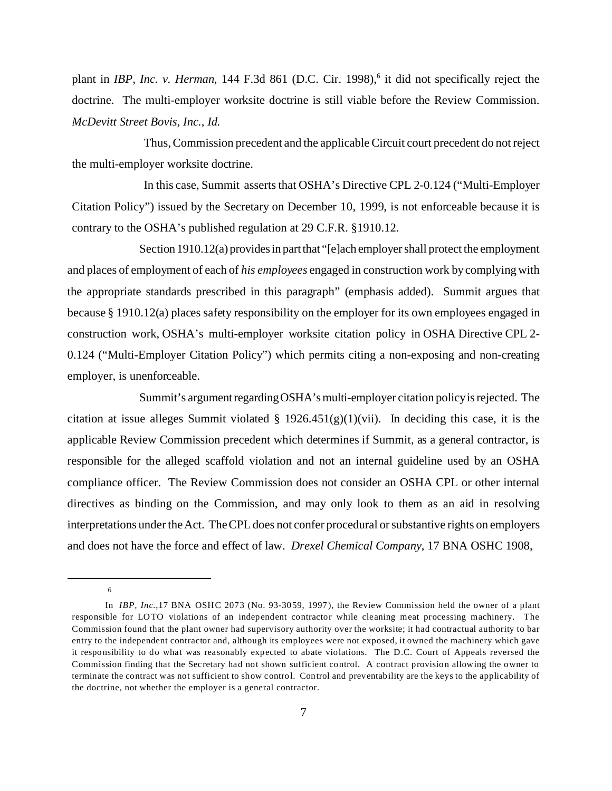plant in *IBP*, *Inc. v. Herman*, 144 F.3d 861 (D.C. Cir. 1998),<sup>6</sup> it did not specifically reject the doctrine. The multi-employer worksite doctrine is still viable before the Review Commission. *McDevitt Street Bovis, Inc., Id.* 

Thus, Commission precedent and the applicable Circuit court precedent do not reject the multi-employer worksite doctrine.

In this case, Summit asserts that OSHA's Directive CPL 2-0.124 ("Multi-Employer Citation Policy") issued by the Secretary on December 10, 1999, is not enforceable because it is contrary to the OSHA's published regulation at 29 C.F.R. §1910.12.

Section 1910.12(a) provides in part that "[e]ach employer shall protect the employment and places of employment of each of *his employees* engaged in construction work by complying with the appropriate standards prescribed in this paragraph" (emphasis added). Summit argues that because § 1910.12(a) places safety responsibility on the employer for its own employees engaged in construction work, OSHA's multi-employer worksite citation policy in OSHA Directive CPL 2- 0.124 ("Multi-Employer Citation Policy") which permits citing a non-exposing and non-creating employer, is unenforceable.

Summit's argument regarding OSHA's multi-employer citation policy is rejected. The citation at issue alleges Summit violated  $\S$  1926.451(g)(1)(vii). In deciding this case, it is the applicable Review Commission precedent which determines if Summit, as a general contractor, is responsible for the alleged scaffold violation and not an internal guideline used by an OSHA compliance officer. The Review Commission does not consider an OSHA CPL or other internal directives as binding on the Commission, and may only look to them as an aid in resolving interpretations under the Act. The CPL does not confer procedural or substantive rights on employers and does not have the force and effect of law. *Drexel Chemical Company*, 17 BNA OSHC 1908,

6

In *IBP, Inc*.,17 BNA OSHC 2073 (No. 93-3059, 1997), the Review Commission held the owner of a plant responsible for LOTO violations of an independent contractor while cleaning meat processing machinery. The Commission found that the plant owner had supervisory authority over the worksite; it had contractual authority to bar entry to the independent contractor and, although its employees were not exposed, it owned the machinery which gave it responsibility to do what was reasonably expected to abate violations. The D.C. Court of Appeals reversed the Commission finding that the Secretary had not shown sufficient control. A contract provision allowing the owner to terminate the contract was not sufficient to show control. Control and preventability are the keys to the applicability of the doctrine, not whether the employer is a general contractor.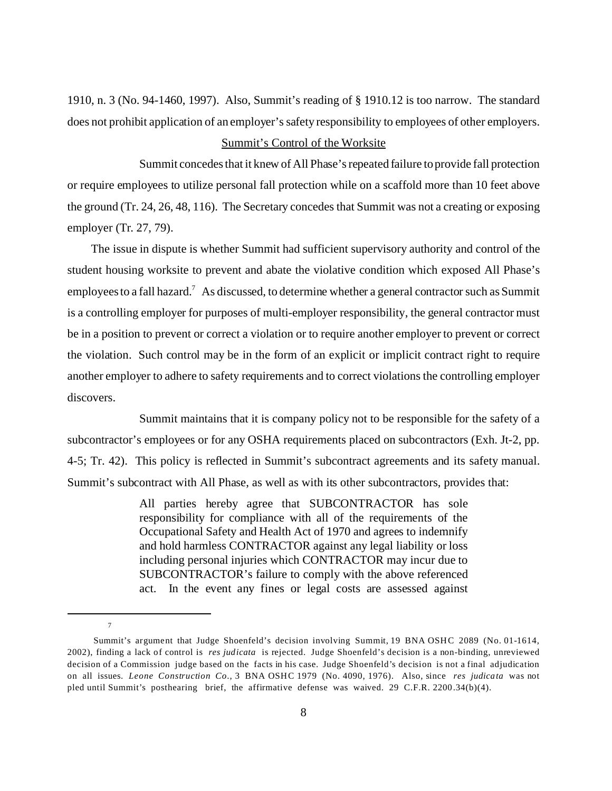1910, n. 3 (No. 94-1460, 1997). Also, Summit's reading of § 1910.12 is too narrow. The standard does not prohibit application of an employer's safety responsibility to employees of other employers.

## Summit's Control of the Worksite

Summit concedes that it knew of All Phase's repeated failure to provide fall protection or require employees to utilize personal fall protection while on a scaffold more than 10 feet above the ground (Tr. 24, 26, 48, 116). The Secretary concedes that Summit was not a creating or exposing employer (Tr. 27, 79).

 The issue in dispute is whether Summit had sufficient supervisory authority and control of the student housing worksite to prevent and abate the violative condition which exposed All Phase's employees to a fall hazard.<sup>7</sup> As discussed, to determine whether a general contractor such as Summit is a controlling employer for purposes of multi-employer responsibility, the general contractor must be in a position to prevent or correct a violation or to require another employer to prevent or correct the violation. Such control may be in the form of an explicit or implicit contract right to require another employer to adhere to safety requirements and to correct violations the controlling employer discovers.

Summit maintains that it is company policy not to be responsible for the safety of a subcontractor's employees or for any OSHA requirements placed on subcontractors (Exh. Jt-2, pp. 4-5; Tr. 42). This policy is reflected in Summit's subcontract agreements and its safety manual. Summit's subcontract with All Phase, as well as with its other subcontractors, provides that:

> All parties hereby agree that SUBCONTRACTOR has sole responsibility for compliance with all of the requirements of the Occupational Safety and Health Act of 1970 and agrees to indemnify and hold harmless CONTRACTOR against any legal liability or loss including personal injuries which CONTRACTOR may incur due to SUBCONTRACTOR's failure to comply with the above referenced act. In the event any fines or legal costs are assessed against

7

Summit's argument that Judge Shoenfeld's decision involving Summit, 19 BNA OSHC 2089 (No. 01-1614, 2002), finding a lack of control is *res judicata* is rejected. Judge Shoenfeld's decision is a non-binding, unreviewed decision of a Commission judge based on the facts in his case. Judge Shoenfeld's decision is not a final adjudication on all issues. *Leone Construction Co*., 3 BNA OSHC 1979 (No. 4090, 1976). Also, since *res judicata* was not pled until Summit's posthearing brief, the affirmative defense was waived. 29 C.F.R. 2200.34(b)(4).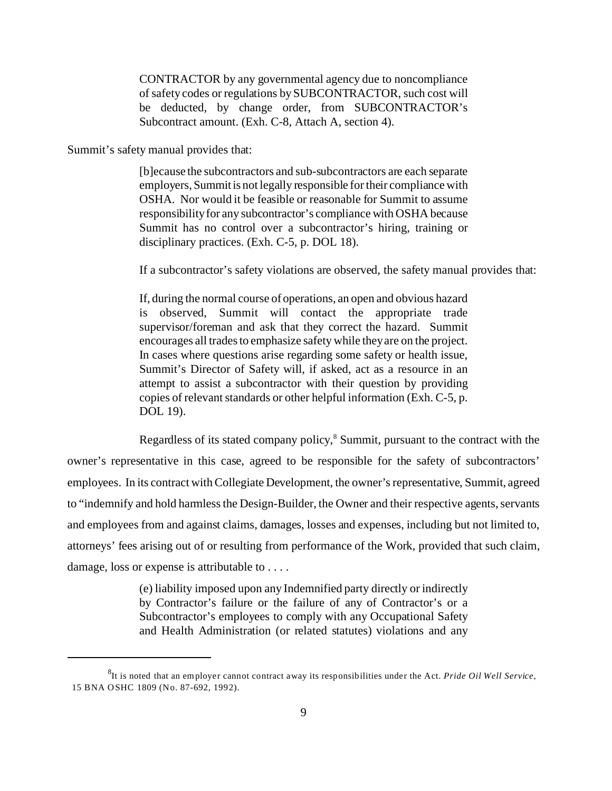CONTRACTOR by any governmental agency due to noncompliance of safety codes or regulations by SUBCONTRACTOR, such cost will be deducted, by change order, from SUBCONTRACTOR's Subcontract amount. (Exh. C-8, Attach A, section 4).

Summit's safety manual provides that:

[b]ecause the subcontractors and sub-subcontractors are each separate employers,Summitis not legally responsible for their compliance with OSHA. Nor would it be feasible or reasonable for Summit to assume responsibility for any subcontractor's compliance with OSHA because Summit has no control over a subcontractor's hiring, training or disciplinary practices. (Exh. C-5, p. DOL 18).

If a subcontractor's safety violations are observed, the safety manual provides that:

If, during the normal course of operations, an open and obvious hazard is observed, Summit will contact the appropriate trade supervisor/foreman and ask that they correct the hazard. Summit encourages all trades to emphasize safety while they are on the project. In cases where questions arise regarding some safety or health issue, Summit's Director of Safety will, if asked, act as a resource in an attempt to assist a subcontractor with their question by providing copies of relevant standards or other helpful information (Exh. C-5, p. DOL 19).

Regardless of its stated company policy,<sup>8</sup> Summit, pursuant to the contract with the owner's representative in this case, agreed to be responsible for the safety of subcontractors' employees. In its contract with Collegiate Development, the owner's representative, Summit, agreed to "indemnify and hold harmless the Design-Builder, the Owner and their respective agents, servants and employees from and against claims, damages, losses and expenses, including but not limited to, attorneys' fees arising out of or resulting from performance of the Work, provided that such claim, damage, loss or expense is attributable to . . . .

> (e) liability imposed upon any Indemnified party directly or indirectly by Contractor's failure or the failure of any of Contractor's or a Subcontractor's employees to comply with any Occupational Safety and Health Administration (or related statutes) violations and any

<sup>8</sup> It is noted that an employer cannot contract away its responsibilities under the Act. *Pride Oil Well Service*, 15 BNA OSHC 1809 (No. 87-692, 1992).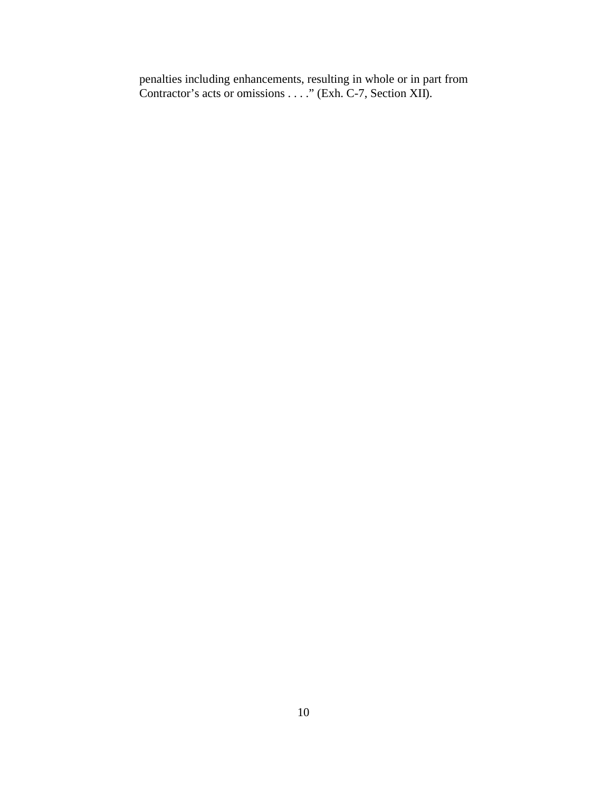penalties including enhancements, resulting in whole or in part from Contractor's acts or omissions . . . ." (Exh. C-7, Section XII).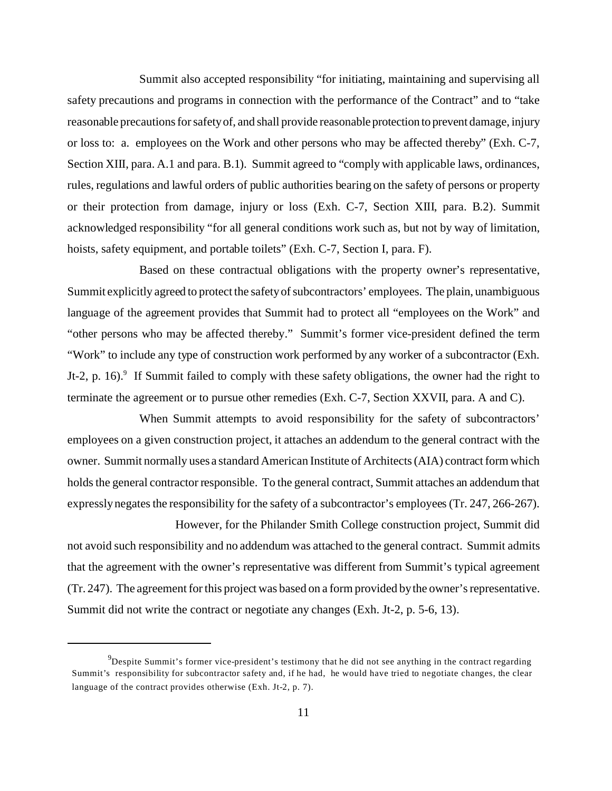Summit also accepted responsibility "for initiating, maintaining and supervising all safety precautions and programs in connection with the performance of the Contract" and to "take reasonable precautions for safety of, and shall provide reasonable protection to prevent damage, injury or loss to: a. employees on the Work and other persons who may be affected thereby" (Exh. C-7, Section XIII, para. A.1 and para. B.1). Summit agreed to "comply with applicable laws, ordinances, rules, regulations and lawful orders of public authorities bearing on the safety of persons or property or their protection from damage, injury or loss (Exh. C-7, Section XIII, para. B.2). Summit acknowledged responsibility "for all general conditions work such as, but not by way of limitation, hoists, safety equipment, and portable toilets" (Exh. C-7, Section I, para. F).

Based on these contractual obligations with the property owner's representative, Summit explicitly agreed to protect the safety of subcontractors' employees. The plain, unambiguous language of the agreement provides that Summit had to protect all "employees on the Work" and "other persons who may be affected thereby." Summit's former vice-president defined the term "Work" to include any type of construction work performed by any worker of a subcontractor (Exh. Jt-2, p. 16).<sup>9</sup> If Summit failed to comply with these safety obligations, the owner had the right to terminate the agreement or to pursue other remedies (Exh. C-7, Section XXVII, para. A and C).

When Summit attempts to avoid responsibility for the safety of subcontractors' employees on a given construction project, it attaches an addendum to the general contract with the owner. Summit normally uses a standard American Institute of Architects (AIA) contract form which holds the general contractor responsible. To the general contract, Summit attaches an addendum that expressly negates the responsibility for the safety of a subcontractor's employees (Tr. 247, 266-267).

However, for the Philander Smith College construction project, Summit did not avoid such responsibility and no addendum was attached to the general contract. Summit admits that the agreement with the owner's representative was different from Summit's typical agreement (Tr. 247). The agreement for this project was based on a form provided by the owner's representative. Summit did not write the contract or negotiate any changes (Exh. Jt-2, p. 5-6, 13).

<sup>&</sup>lt;sup>9</sup>Despite Summit's former vice-president's testimony that he did not see anything in the contract regarding Summit's responsibility for subcontractor safety and, if he had, he would have tried to negotiate changes, the clear language of the contract provides otherwise (Exh. Jt-2, p. 7).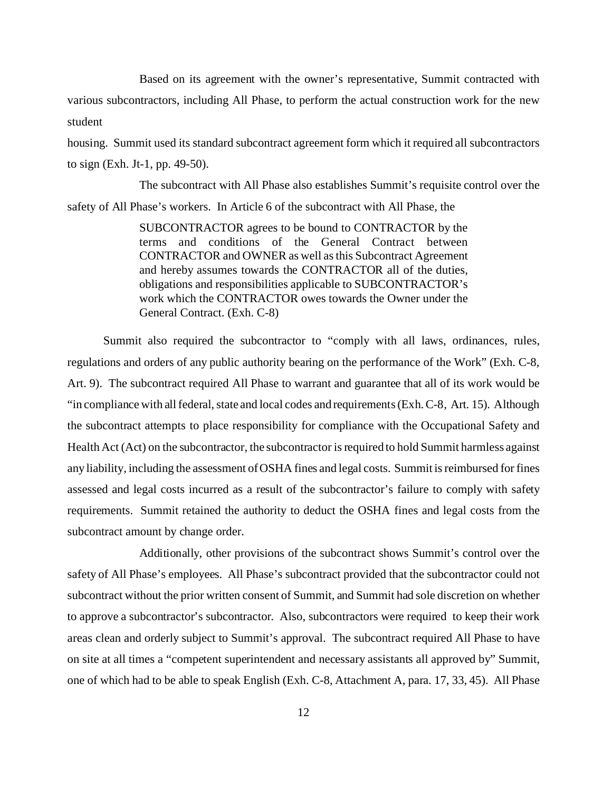Based on its agreement with the owner's representative, Summit contracted with various subcontractors, including All Phase, to perform the actual construction work for the new student

housing. Summit used its standard subcontract agreement form which it required all subcontractors to sign (Exh. Jt-1, pp. 49-50).

The subcontract with All Phase also establishes Summit's requisite control over the safety of All Phase's workers. In Article 6 of the subcontract with All Phase, the

> SUBCONTRACTOR agrees to be bound to CONTRACTOR by the terms and conditions of the General Contract between CONTRACTOR and OWNER as well as this Subcontract Agreement and hereby assumes towards the CONTRACTOR all of the duties, obligations and responsibilities applicable to SUBCONTRACTOR's work which the CONTRACTOR owes towards the Owner under the General Contract. (Exh. C-8)

Summit also required the subcontractor to "comply with all laws, ordinances, rules, regulations and orders of any public authority bearing on the performance of the Work" (Exh. C-8, Art. 9). The subcontract required All Phase to warrant and guarantee that all of its work would be "in compliance with all federal, state and local codes and requirements (Exh. C-8, Art. 15). Although the subcontract attempts to place responsibility for compliance with the Occupational Safety and Health Act (Act) on the subcontractor, the subcontractor is required to hold Summit harmless against any liability, including the assessment of OSHA fines and legal costs. Summit is reimbursed for fines assessed and legal costs incurred as a result of the subcontractor's failure to comply with safety requirements. Summit retained the authority to deduct the OSHA fines and legal costs from the subcontract amount by change order.

Additionally, other provisions of the subcontract shows Summit's control over the safety of All Phase's employees. All Phase's subcontract provided that the subcontractor could not subcontract without the prior written consent of Summit, and Summit had sole discretion on whether to approve a subcontractor's subcontractor. Also, subcontractors were required to keep their work areas clean and orderly subject to Summit's approval. The subcontract required All Phase to have on site at all times a "competent superintendent and necessary assistants all approved by" Summit, one of which had to be able to speak English (Exh. C-8, Attachment A, para. 17, 33, 45). All Phase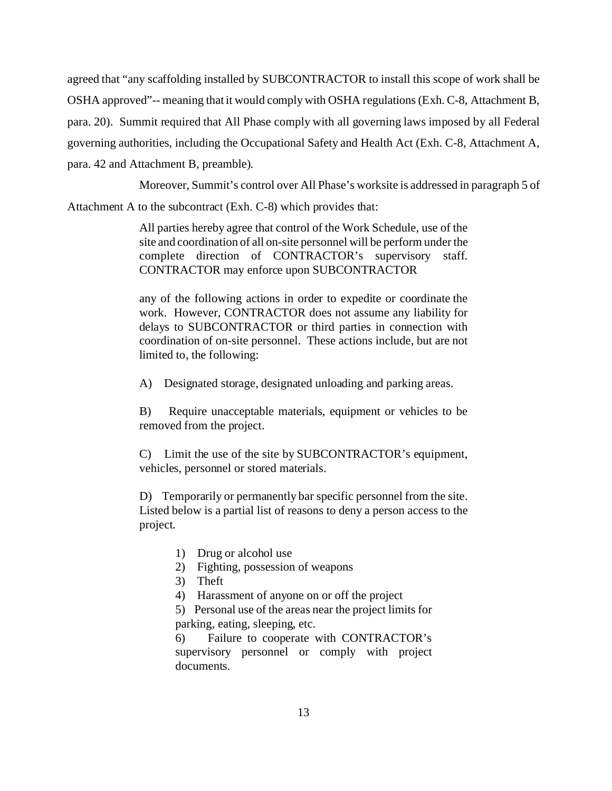agreed that "any scaffolding installed by SUBCONTRACTOR to install this scope of work shall be OSHA approved"-- meaning that it would comply with OSHA regulations (Exh. C-8, Attachment B, para. 20). Summit required that All Phase comply with all governing laws imposed by all Federal governing authorities, including the Occupational Safety and Health Act (Exh. C-8, Attachment A, para. 42 and Attachment B, preamble).

Moreover, Summit's control over All Phase's worksite is addressed in paragraph 5 of Attachment A to the subcontract (Exh. C-8) which provides that:

> All parties hereby agree that control of the Work Schedule, use of the site and coordination of all on-site personnel will be perform under the complete direction of CONTRACTOR's supervisory staff. CONTRACTOR may enforce upon SUBCONTRACTOR

> any of the following actions in order to expedite or coordinate the work. However, CONTRACTOR does not assume any liability for delays to SUBCONTRACTOR or third parties in connection with coordination of on-site personnel. These actions include, but are not limited to, the following:

A) Designated storage, designated unloading and parking areas.

B) Require unacceptable materials, equipment or vehicles to be removed from the project.

C) Limit the use of the site by SUBCONTRACTOR's equipment, vehicles, personnel or stored materials.

D) Temporarily or permanently bar specific personnel from the site. Listed below is a partial list of reasons to deny a person access to the project.

- 1) Drug or alcohol use
- 2) Fighting, possession of weapons
- 3) Theft
- 4) Harassment of anyone on or off the project
- 5) Personal use of the areas near the project limits for parking, eating, sleeping, etc.

6) Failure to cooperate with CONTRACTOR's supervisory personnel or comply with project documents.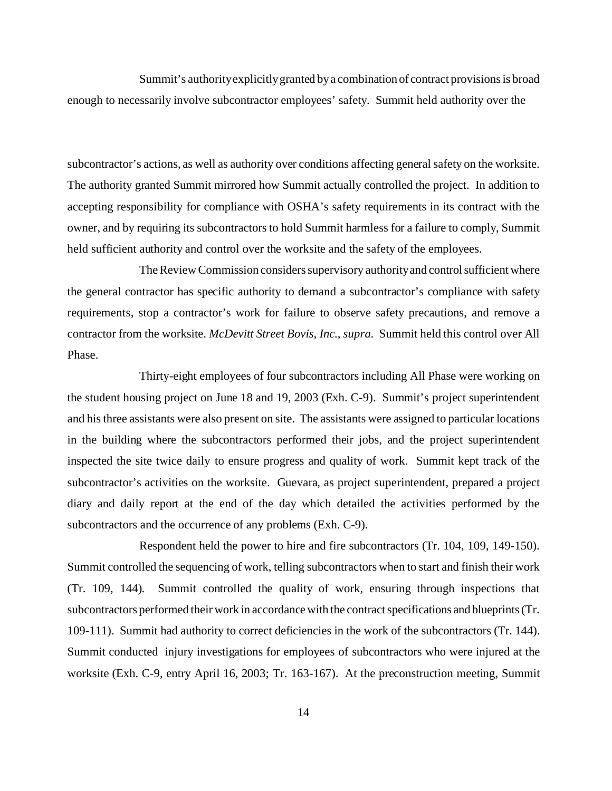Summit's authority explicitly granted by a combination of contract provisions is broad enough to necessarily involve subcontractor employees' safety. Summit held authority over the

subcontractor's actions, as well as authority over conditions affecting general safety on the worksite. The authority granted Summit mirrored how Summit actually controlled the project. In addition to accepting responsibility for compliance with OSHA's safety requirements in its contract with the owner, and by requiring its subcontractors to hold Summit harmless for a failure to comply, Summit held sufficient authority and control over the worksite and the safety of the employees.

The Review Commission considers supervisory authority and controlsufficient where the general contractor has specific authority to demand a subcontractor's compliance with safety requirements, stop a contractor's work for failure to observe safety precautions, and remove a contractor from the worksite. *McDevitt Street Bovis, Inc.*, *supra*. Summit held this control over All Phase.

Thirty-eight employees of four subcontractors including All Phase were working on the student housing project on June 18 and 19, 2003 (Exh. C-9). Summit's project superintendent and his three assistants were also present on site. The assistants were assigned to particular locations in the building where the subcontractors performed their jobs, and the project superintendent inspected the site twice daily to ensure progress and quality of work. Summit kept track of the subcontractor's activities on the worksite. Guevara, as project superintendent, prepared a project diary and daily report at the end of the day which detailed the activities performed by the subcontractors and the occurrence of any problems (Exh. C-9).

Respondent held the power to hire and fire subcontractors (Tr. 104, 109, 149-150). Summit controlled the sequencing of work, telling subcontractors when to start and finish their work (Tr. 109, 144). Summit controlled the quality of work, ensuring through inspections that subcontractors performed their work in accordance with the contract specifications and blueprints (Tr. 109-111). Summit had authority to correct deficiencies in the work of the subcontractors (Tr. 144). Summit conducted injury investigations for employees of subcontractors who were injured at the worksite (Exh. C-9, entry April 16, 2003; Tr. 163-167). At the preconstruction meeting, Summit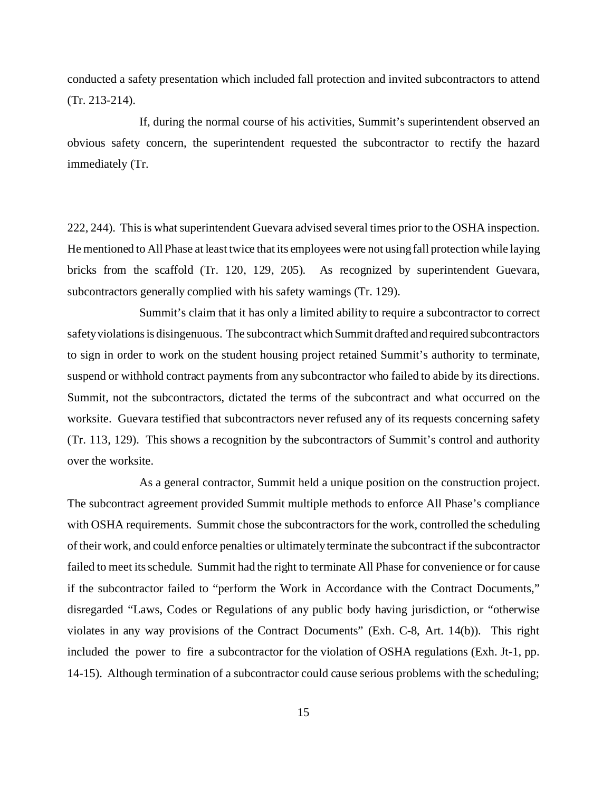conducted a safety presentation which included fall protection and invited subcontractors to attend (Tr. 213-214).

If, during the normal course of his activities, Summit's superintendent observed an obvious safety concern, the superintendent requested the subcontractor to rectify the hazard immediately (Tr.

222, 244). This is what superintendent Guevara advised several times prior to the OSHA inspection. He mentioned to All Phase at least twice that its employees were not using fall protection while laying bricks from the scaffold (Tr. 120, 129, 205). As recognized by superintendent Guevara, subcontractors generally complied with his safety warnings (Tr. 129).

Summit's claim that it has only a limited ability to require a subcontractor to correct safety violations is disingenuous. The subcontract which Summit drafted and required subcontractors to sign in order to work on the student housing project retained Summit's authority to terminate, suspend or withhold contract payments from any subcontractor who failed to abide by its directions. Summit, not the subcontractors, dictated the terms of the subcontract and what occurred on the worksite. Guevara testified that subcontractors never refused any of its requests concerning safety (Tr. 113, 129). This shows a recognition by the subcontractors of Summit's control and authority over the worksite.

As a general contractor, Summit held a unique position on the construction project. The subcontract agreement provided Summit multiple methods to enforce All Phase's compliance with OSHA requirements. Summit chose the subcontractors for the work, controlled the scheduling of their work, and could enforce penalties or ultimately terminate the subcontract if the subcontractor failed to meet its schedule. Summit had the right to terminate All Phase for convenience or for cause if the subcontractor failed to "perform the Work in Accordance with the Contract Documents," disregarded "Laws, Codes or Regulations of any public body having jurisdiction, or "otherwise violates in any way provisions of the Contract Documents" (Exh. C-8, Art. 14(b)). This right included the power to fire a subcontractor for the violation of OSHA regulations (Exh. Jt-1, pp. 14-15). Although termination of a subcontractor could cause serious problems with the scheduling;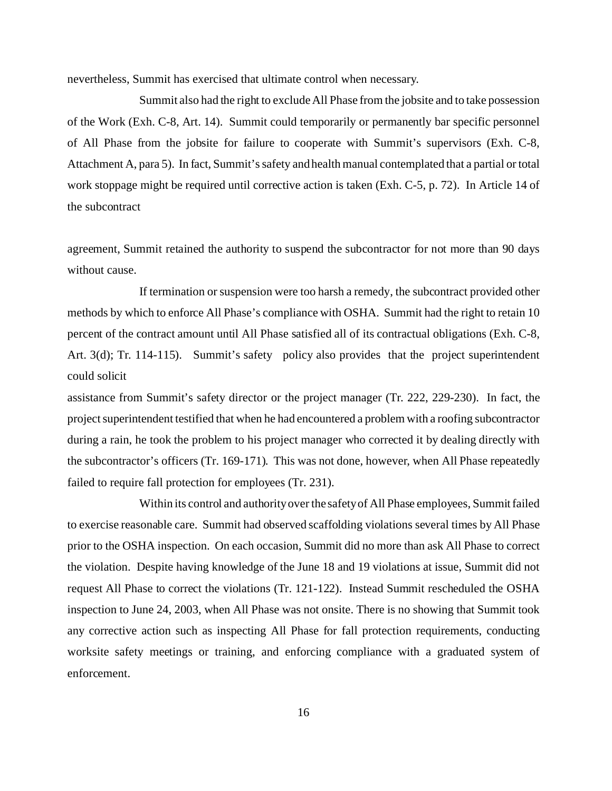nevertheless, Summit has exercised that ultimate control when necessary.

Summit also had the right to exclude All Phase from the jobsite and to take possession of the Work (Exh. C-8, Art. 14). Summit could temporarily or permanently bar specific personnel of All Phase from the jobsite for failure to cooperate with Summit's supervisors (Exh. C-8, Attachment A, para 5). In fact, Summit's safety and health manual contemplated that a partial or total work stoppage might be required until corrective action is taken (Exh. C-5, p. 72). In Article 14 of the subcontract

agreement, Summit retained the authority to suspend the subcontractor for not more than 90 days without cause.

If termination or suspension were too harsh a remedy, the subcontract provided other methods by which to enforce All Phase's compliance with OSHA. Summit had the right to retain 10 percent of the contract amount until All Phase satisfied all of its contractual obligations (Exh. C-8, Art. 3(d); Tr. 114-115). Summit's safety policy also provides that the project superintendent could solicit

assistance from Summit's safety director or the project manager (Tr. 222, 229-230). In fact, the project superintendent testified that when he had encountered a problem with a roofing subcontractor during a rain, he took the problem to his project manager who corrected it by dealing directly with the subcontractor's officers (Tr. 169-171). This was not done, however, when All Phase repeatedly failed to require fall protection for employees (Tr. 231).

Within its control and authority over the safety of All Phase employees, Summit failed to exercise reasonable care. Summit had observed scaffolding violations several times by All Phase prior to the OSHA inspection. On each occasion, Summit did no more than ask All Phase to correct the violation. Despite having knowledge of the June 18 and 19 violations at issue, Summit did not request All Phase to correct the violations (Tr. 121-122). Instead Summit rescheduled the OSHA inspection to June 24, 2003, when All Phase was not onsite. There is no showing that Summit took any corrective action such as inspecting All Phase for fall protection requirements, conducting worksite safety meetings or training, and enforcing compliance with a graduated system of enforcement.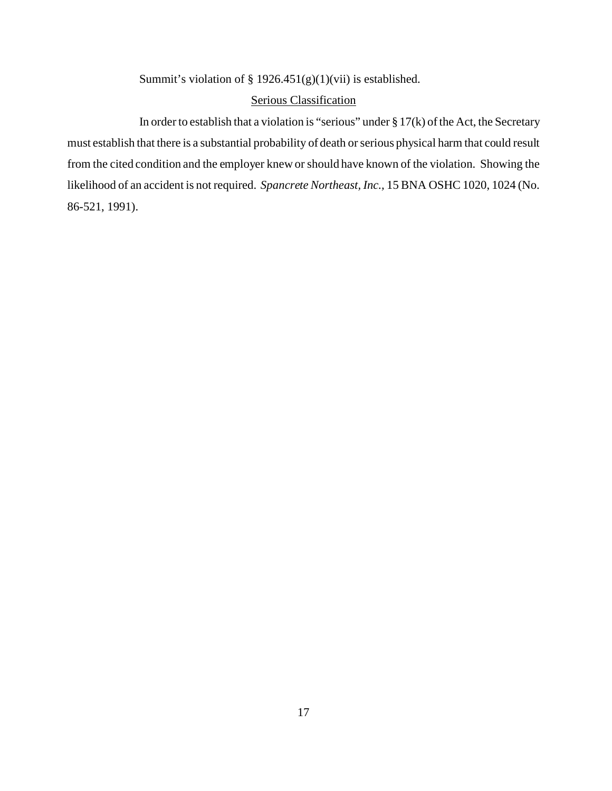# Summit's violation of § 1926.451(g)(1)(vii) is established.

# Serious Classification

In order to establish that a violation is "serious" under  $\S 17(k)$  of the Act, the Secretary must establish that there is a substantial probability of death or serious physical harm that could result from the cited condition and the employer knew or should have known of the violation. Showing the likelihood of an accident is not required. *Spancrete Northeast, Inc.,* 15 BNA OSHC 1020, 1024 (No. 86-521, 1991).